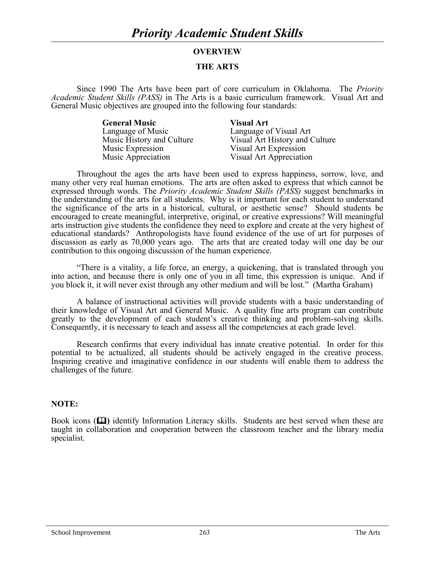## **OVERVIEW**

## **THE ARTS**

Since 1990 The Arts have been part of core curriculum in Oklahoma. The *Priority Academic Student Skills (PASS)* in The Arts is a basic curriculum framework. Visual Art and General Music objectives are grouped into the following four standards:

> **General Music Visual Art** Language of Music<br>
> Music History and Culture<br>
> Visual Art History and C Music Expression<br>
> Music Appreciation<br>
> Visual Art Appreciation<br>
> Visual Art Appreciation

Music History and Culture Visual Art History and Culture<br>
Music Expression Visual Art Expression Visual Art Appreciation

Throughout the ages the arts have been used to express happiness, sorrow, love, and many other very real human emotions. The arts are often asked to express that which cannot be expressed through words. The *Priority Academic Student Skills (PASS)* suggest benchmarks in the understanding of the arts for all students. Why is it important for each student to understand the significance of the arts in a historical, cultural, or aesthetic sense? Should students be encouraged to create meaningful, interpretive, original, or creative expressions? Will meaningful arts instruction give students the confidence they need to explore and create at the very highest of educational standards? Anthropologists have found evidence of the use of art for purposes of discussion as early as 70,000 years ago. The arts that are created today will one day be our contribution to this ongoing discussion of the human experience.

"There is a vitality, a life force, an energy, a quickening, that is translated through you into action, and because there is only one of you in all time, this expression is unique. And if you block it, it will never exist through any other medium and will be lost." (Martha Graham)

A balance of instructional activities will provide students with a basic understanding of their knowledge of Visual Art and General Music. A quality fine arts program can contribute greatly to the development of each student's creative thinking and problem-solving skills. Consequently, it is necessary to teach and assess all the competencies at each grade level.

Research confirms that every individual has innate creative potential. In order for this potential to be actualized, all students should be actively engaged in the creative process. Inspiring creative and imaginative confidence in our students will enable them to address the challenges of the future.

#### **NOTE:**

Book icons (**Q)** identify Information Literacy skills. Students are best served when these are taught in collaboration and cooperation between the classroom teacher and the library media specialist.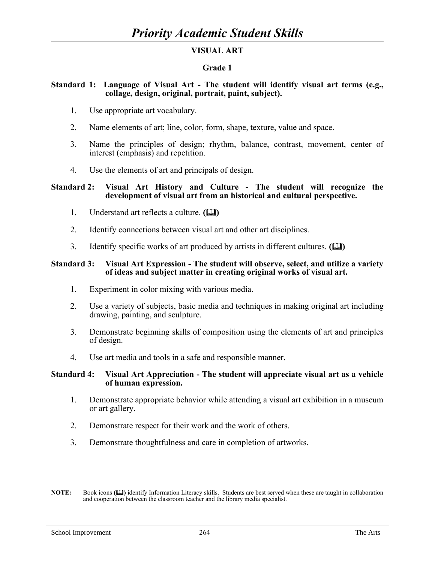# **VISUAL ART**

# **Grade 1**

## **Standard 1: Language of Visual Art - The student will identify visual art terms (e.g., collage, design, original, portrait, paint, subject).**

- 1. Use appropriate art vocabulary.
- 2. Name elements of art; line, color, form, shape, texture, value and space.
- 3. Name the principles of design; rhythm, balance, contrast, movement, center of interest (emphasis) and repetition.
- 4. Use the elements of art and principals of design.

### **Standard 2: Visual Art History and Culture - The student will recognize the development of visual art from an historical and cultural perspective.**

- 1. Understand art reflects a culture.  $(\Box)$
- 2. Identify connections between visual art and other art disciplines.
- 3. Identify specific works of art produced by artists in different cultures. **()**

## **Standard 3: Visual Art Expression - The student will observe, select, and utilize a variety of ideas and subject matter in creating original works of visual art.**

- 1. Experiment in color mixing with various media.
- 2. Use a variety of subjects, basic media and techniques in making original art including drawing, painting, and sculpture.
- 3. Demonstrate beginning skills of composition using the elements of art and principles of design.
- 4. Use art media and tools in a safe and responsible manner.

#### **Standard 4: Visual Art Appreciation - The student will appreciate visual art as a vehicle of human expression.**

- 1. Demonstrate appropriate behavior while attending a visual art exhibition in a museum or art gallery.
- 2. Demonstrate respect for their work and the work of others.
- 3. Demonstrate thoughtfulness and care in completion of artworks.
- **NOTE:** Book icons  $(\Box)$  identify Information Literacy skills. Students are best served when these are taught in collaboration and cooperation between the classroom teacher and the library media specialist.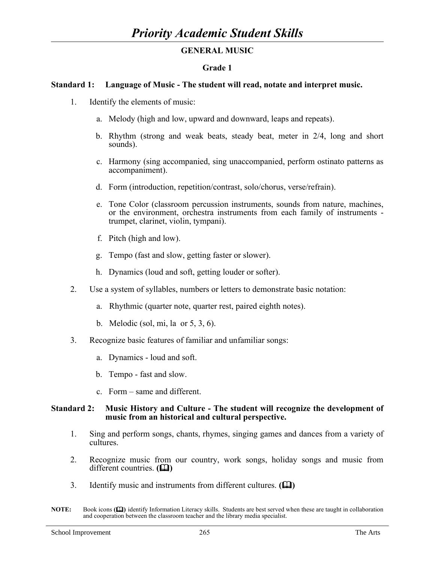# **GENERAL MUSIC**

# **Grade 1**

## **Standard 1: Language of Music - The student will read, notate and interpret music.**

- 1. Identify the elements of music:
	- a. Melody (high and low, upward and downward, leaps and repeats).
	- b. Rhythm (strong and weak beats, steady beat, meter in 2/4, long and short sounds).
	- c. Harmony (sing accompanied, sing unaccompanied, perform ostinato patterns as accompaniment).
	- d. Form (introduction, repetition/contrast, solo/chorus, verse/refrain).
	- e. Tone Color (classroom percussion instruments, sounds from nature, machines, or the environment, orchestra instruments from each family of instruments trumpet, clarinet, violin, tympani).
	- f. Pitch (high and low).
	- g. Tempo (fast and slow, getting faster or slower).
	- h. Dynamics (loud and soft, getting louder or softer).
- 2. Use a system of syllables, numbers or letters to demonstrate basic notation:
	- a. Rhythmic (quarter note, quarter rest, paired eighth notes).
	- b. Melodic (sol, mi, la or 5, 3, 6).
- 3. Recognize basic features of familiar and unfamiliar songs:
	- a. Dynamics loud and soft.
	- b. Tempo fast and slow.
	- c. Form same and different.

## **Standard 2: Music History and Culture - The student will recognize the development of music from an historical and cultural perspective.**

- 1. Sing and perform songs, chants, rhymes, singing games and dances from a variety of cultures.
- 2. Recognize music from our country, work songs, holiday songs and music from different countries. **(** $\Box$ **)**
- 3. Identify music and instruments from different cultures. **()**

**NOTE:** Book icons **()** identify Information Literacy skills. Students are best served when these are taught in collaboration and cooperation between the classroom teacher and the library media specialist.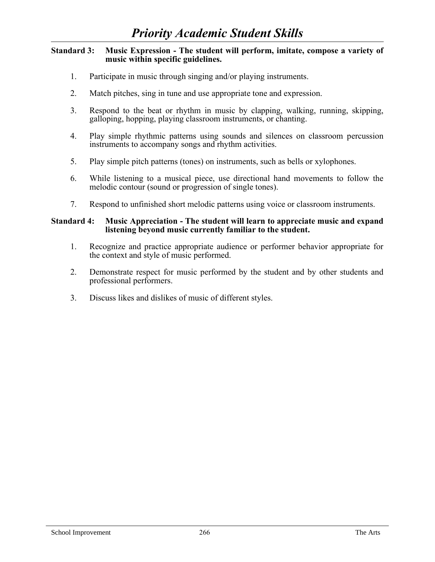## **Standard 3: Music Expression - The student will perform, imitate, compose a variety of music within specific guidelines.**

- 1. Participate in music through singing and/or playing instruments.
- 2. Match pitches, sing in tune and use appropriate tone and expression.
- 3. Respond to the beat or rhythm in music by clapping, walking, running, skipping, galloping, hopping, playing classroom instruments, or chanting.
- 4. Play simple rhythmic patterns using sounds and silences on classroom percussion instruments to accompany songs and rhythm activities.
- 5. Play simple pitch patterns (tones) on instruments, such as bells or xylophones.
- 6. While listening to a musical piece, use directional hand movements to follow the melodic contour (sound or progression of single tones).
- 7. Respond to unfinished short melodic patterns using voice or classroom instruments.

### **Standard 4: Music Appreciation - The student will learn to appreciate music and expand listening beyond music currently familiar to the student.**

- 1. Recognize and practice appropriate audience or performer behavior appropriate for the context and style of music performed.
- 2. Demonstrate respect for music performed by the student and by other students and professional performers.
- 3. Discuss likes and dislikes of music of different styles.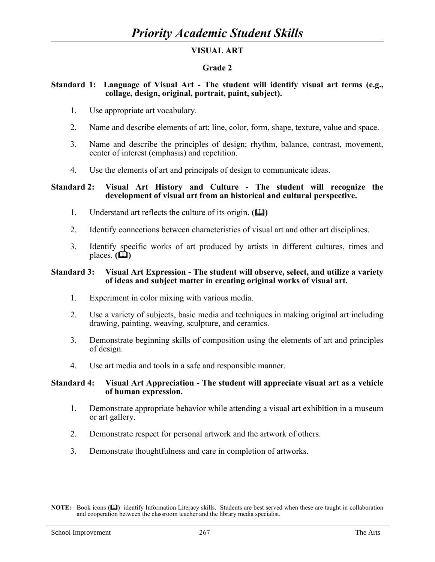# **VISUAL ART**

# **Grade 2**

## **Standard 1: Language of Visual Art - The student will identify visual art terms (e.g., collage, design, original, portrait, paint, subject).**

- 1. Use appropriate art vocabulary.
- 2. Name and describe elements of art; line, color, form, shape, texture, value and space.
- 3. Name and describe the principles of design; rhythm, balance, contrast, movement, center of interest (emphasis) and repetition.
- 4. Use the elements of art and principals of design to communicate ideas.

### **Standard 2: Visual Art History and Culture - The student will recognize the development of visual art from an historical and cultural perspective.**

- 1. Understand art reflects the culture of its origin.  $(\Box)$
- 2. Identify connections between characteristics of visual art and other art disciplines.
- 3. Identify specific works of art produced by artists in different cultures, times and places.  $(\Box)$

### **Standard 3: Visual Art Expression - The student will observe, select, and utilize a variety of ideas and subject matter in creating original works of visual art.**

- 1. Experiment in color mixing with various media.
- 2. Use a variety of subjects, basic media and techniques in making original art including drawing, painting, weaving, sculpture, and ceramics.
- 3. Demonstrate beginning skills of composition using the elements of art and principles of design.
- 4. Use art media and tools in a safe and responsible manner.

## **Standard 4: Visual Art Appreciation - The student will appreciate visual art as a vehicle of human expression.**

- 1. Demonstrate appropriate behavior while attending a visual art exhibition in a museum or art gallery.
- 2. Demonstrate respect for personal artwork and the artwork of others.
- 3. Demonstrate thoughtfulness and care in completion of artworks.

**NOTE:** Book icons **()** identify Information Literacy skills. Students are best served when these are taught in collaboration and cooperation between the classroom teacher and the library media specialist.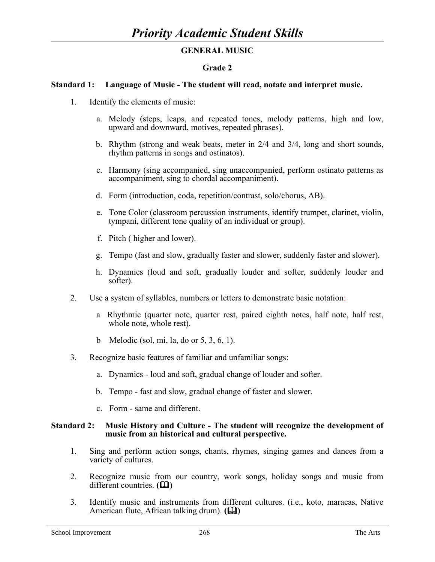# **GENERAL MUSIC**

# **Grade 2**

## **Standard 1: Language of Music - The student will read, notate and interpret music.**

- 1. Identify the elements of music:
	- a. Melody (steps, leaps, and repeated tones, melody patterns, high and low, upward and downward, motives, repeated phrases).
	- b. Rhythm (strong and weak beats, meter in 2/4 and 3/4, long and short sounds, rhythm patterns in songs and ostinatos).
	- c. Harmony (sing accompanied, sing unaccompanied, perform ostinato patterns as accompaniment, sing to chordal accompaniment).
	- d. Form (introduction, coda, repetition/contrast, solo/chorus, AB).
	- e. Tone Color (classroom percussion instruments, identify trumpet, clarinet, violin, tympani, different tone quality of an individual or group).
	- f. Pitch ( higher and lower).
	- g. Tempo (fast and slow, gradually faster and slower, suddenly faster and slower).
	- h. Dynamics (loud and soft, gradually louder and softer, suddenly louder and softer).
- 2. Use a system of syllables, numbers or letters to demonstrate basic notation:
	- a Rhythmic (quarter note, quarter rest, paired eighth notes, half note, half rest, whole note, whole rest).
	- b Melodic (sol, mi, la, do or 5, 3, 6, 1).
- 3. Recognize basic features of familiar and unfamiliar songs:
	- a. Dynamics loud and soft, gradual change of louder and softer.
	- b. Tempo fast and slow, gradual change of faster and slower.
	- c. Form same and different.

#### **Standard 2: Music History and Culture - The student will recognize the development of music from an historical and cultural perspective.**

- 1. Sing and perform action songs, chants, rhymes, singing games and dances from a variety of cultures.
- 2. Recognize music from our country, work songs, holiday songs and music from different countries. **(PD)**
- 3. Identify music and instruments from different cultures. (i.e., koto, maracas, Native American flute, African talking drum). **(14)**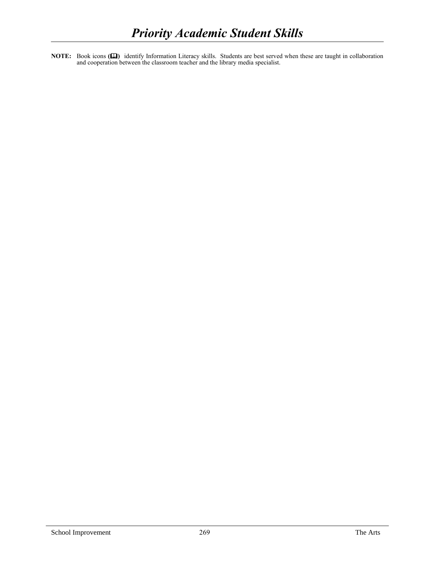**NOTE:** Book icons **()** identify Information Literacy skills. Students are best served when these are taught in collaboration and cooperation between the classroom teacher and the library media specialist.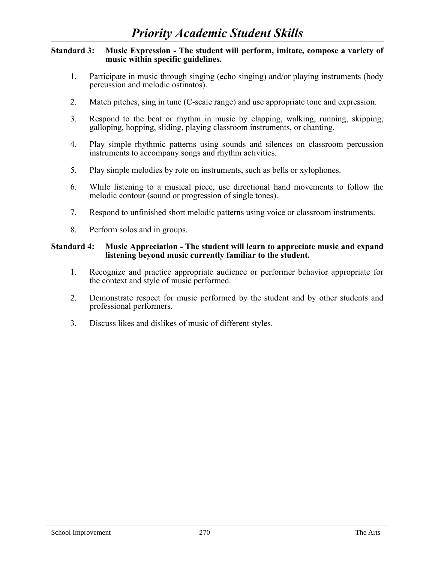### **Standard 3: Music Expression - The student will perform, imitate, compose a variety of music within specific guidelines.**

- 1. Participate in music through singing (echo singing) and/or playing instruments (body percussion and melodic ostinatos).
- 2. Match pitches, sing in tune (C-scale range) and use appropriate tone and expression.
- 3. Respond to the beat or rhythm in music by clapping, walking, running, skipping, galloping, hopping, sliding, playing classroom instruments, or chanting.
- 4. Play simple rhythmic patterns using sounds and silences on classroom percussion instruments to accompany songs and rhythm activities.
- 5. Play simple melodies by rote on instruments, such as bells or xylophones.
- 6. While listening to a musical piece, use directional hand movements to follow the melodic contour (sound or progression of single tones).
- 7. Respond to unfinished short melodic patterns using voice or classroom instruments.
- 8. Perform solos and in groups.

### **Standard 4: Music Appreciation - The student will learn to appreciate music and expand listening beyond music currently familiar to the student.**

- 1. Recognize and practice appropriate audience or performer behavior appropriate for the context and style of music performed.
- 2. Demonstrate respect for music performed by the student and by other students and professional performers.
- 3. Discuss likes and dislikes of music of different styles.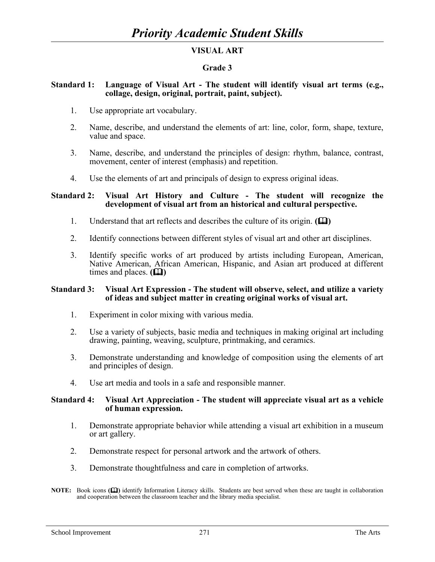# **VISUAL ART**

# **Grade 3**

## **Standard 1: Language of Visual Art - The student will identify visual art terms (e.g., collage, design, original, portrait, paint, subject).**

- 1. Use appropriate art vocabulary.
- 2. Name, describe, and understand the elements of art: line, color, form, shape, texture, value and space.
- 3. Name, describe, and understand the principles of design: rhythm, balance, contrast, movement, center of interest (emphasis) and repetition.
- 4. Use the elements of art and principals of design to express original ideas.

## **Standard 2: Visual Art History and Culture - The student will recognize the development of visual art from an historical and cultural perspective.**

- 1. Understand that art reflects and describes the culture of its origin.  $(\mathbf{\Omega})$
- 2. Identify connections between different styles of visual art and other art disciplines.
- 3. Identify specific works of art produced by artists including European, American, Native American, African American, Hispanic, and Asian art produced at different times and places.  $(\Box)$

## **Standard 3: Visual Art Expression - The student will observe, select, and utilize a variety of ideas and subject matter in creating original works of visual art.**

- 1. Experiment in color mixing with various media.
- 2. Use a variety of subjects, basic media and techniques in making original art including drawing, painting, weaving, sculpture, printmaking, and ceramics.
- 3. Demonstrate understanding and knowledge of composition using the elements of art and principles of design.
- 4. Use art media and tools in a safe and responsible manner.

#### **Standard 4: Visual Art Appreciation - The student will appreciate visual art as a vehicle of human expression.**

- 1. Demonstrate appropriate behavior while attending a visual art exhibition in a museum or art gallery.
- 2. Demonstrate respect for personal artwork and the artwork of others.
- 3. Demonstrate thoughtfulness and care in completion of artworks.
- **NOTE:** Book icons ( $\Box$ ) identify Information Literacy skills. Students are best served when these are taught in collaboration and cooperation between the classroom teacher and the library media specialist.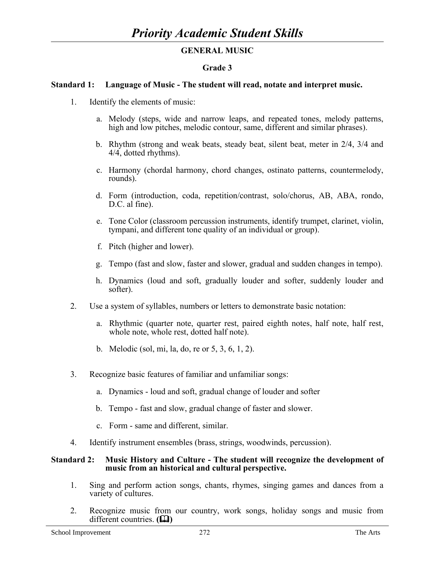# **GENERAL MUSIC**

# **Grade 3**

## **Standard 1: Language of Music - The student will read, notate and interpret music.**

- 1. Identify the elements of music:
	- a. Melody (steps, wide and narrow leaps, and repeated tones, melody patterns, high and low pitches, melodic contour, same, different and similar phrases).
	- b. Rhythm (strong and weak beats, steady beat, silent beat, meter in 2/4, 3/4 and 4/4, dotted rhythms).
	- c. Harmony (chordal harmony, chord changes, ostinato patterns, countermelody, rounds).
	- d. Form (introduction, coda, repetition/contrast, solo/chorus, AB, ABA, rondo, D.C. al fine).
	- e. Tone Color (classroom percussion instruments, identify trumpet, clarinet, violin, tympani, and different tone quality of an individual or group).
	- f. Pitch (higher and lower).
	- g. Tempo (fast and slow, faster and slower, gradual and sudden changes in tempo).
	- h. Dynamics (loud and soft, gradually louder and softer, suddenly louder and softer).
- 2. Use a system of syllables, numbers or letters to demonstrate basic notation:
	- a. Rhythmic (quarter note, quarter rest, paired eighth notes, half note, half rest, whole note, whole rest, dotted half note).
	- b. Melodic (sol, mi, la, do, re or 5, 3, 6, 1, 2).
- 3. Recognize basic features of familiar and unfamiliar songs:
	- a. Dynamics loud and soft, gradual change of louder and softer
	- b. Tempo fast and slow, gradual change of faster and slower.
	- c. Form same and different, similar.
- 4. Identify instrument ensembles (brass, strings, woodwinds, percussion).

#### **Standard 2: Music History and Culture - The student will recognize the development of music from an historical and cultural perspective.**

- 1. Sing and perform action songs, chants, rhymes, singing games and dances from a variety of cultures.
- 2. Recognize music from our country, work songs, holiday songs and music from different countries. **(Q)**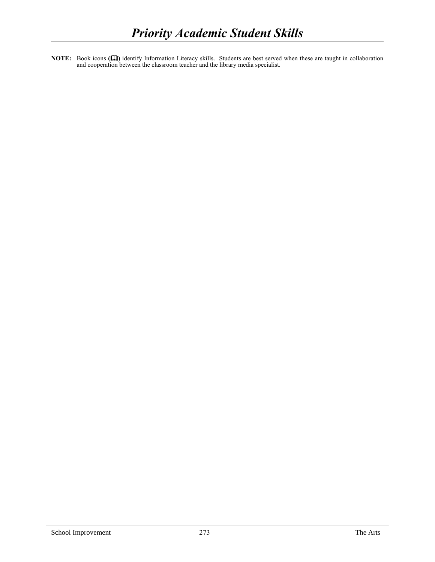**NOTE:** Book icons ( $\Box$ ) identify Information Literacy skills. Students are best served when these are taught in collaboration and cooperation between the classroom teacher and the library media specialist.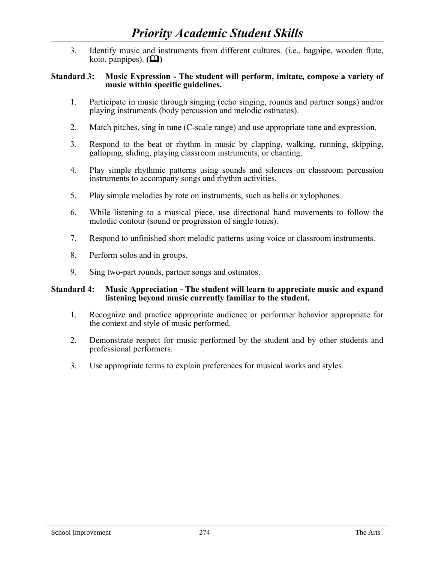3. Identify music and instruments from different cultures. (i.e., bagpipe, wooden flute, koto, panpipes).  $(\Box)$ 

## **Standard 3: Music Expression - The student will perform, imitate, compose a variety of music within specific guidelines.**

- 1. Participate in music through singing (echo singing, rounds and partner songs) and/or playing instruments (body percussion and melodic ostinatos).
- 2. Match pitches, sing in tune (C-scale range) and use appropriate tone and expression.
- 3. Respond to the beat or rhythm in music by clapping, walking, running, skipping, galloping, sliding, playing classroom instruments, or chanting.
- 4. Play simple rhythmic patterns using sounds and silences on classroom percussion instruments to accompany songs and rhythm activities.
- 5. Play simple melodies by rote on instruments, such as bells or xylophones.
- 6. While listening to a musical piece, use directional hand movements to follow the melodic contour (sound or progression of single tones).
- 7. Respond to unfinished short melodic patterns using voice or classroom instruments.
- 8. Perform solos and in groups.
- 9. Sing two-part rounds, partner songs and ostinatos.

## **Standard 4: Music Appreciation - The student will learn to appreciate music and expand listening beyond music currently familiar to the student.**

- 1. Recognize and practice appropriate audience or performer behavior appropriate for the context and style of music performed.
- 2. Demonstrate respect for music performed by the student and by other students and professional performers.
- 3. Use appropriate terms to explain preferences for musical works and styles.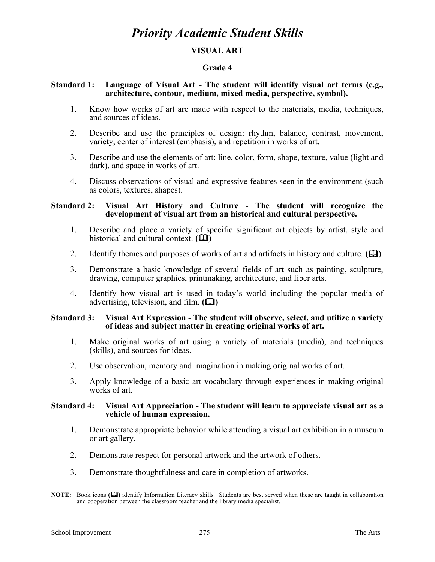# **VISUAL ART**

## **Grade 4**

#### **Standard 1: Language of Visual Art - The student will identify visual art terms (e.g., architecture, contour, medium, mixed media, perspective, symbol).**

- 1. Know how works of art are made with respect to the materials, media, techniques, and sources of ideas.
- 2. Describe and use the principles of design: rhythm, balance, contrast, movement, variety, center of interest (emphasis), and repetition in works of art.
- 3. Describe and use the elements of art: line, color, form, shape, texture, value (light and dark), and space in works of art.
- 4. Discuss observations of visual and expressive features seen in the environment (such as colors, textures, shapes).

## **Standard 2: Visual Art History and Culture - The student will recognize the development of visual art from an historical and cultural perspective.**

- 1. Describe and place a variety of specific significant art objects by artist, style and historical and cultural context.  $(\Box)$
- 2. Identify themes and purposes of works of art and artifacts in history and culture. **(** $\Box$ **)**
- 3. Demonstrate a basic knowledge of several fields of art such as painting, sculpture, drawing, computer graphics, printmaking, architecture, and fiber arts.
- 4. Identify how visual art is used in today's world including the popular media of advertising, television, and film.  $(\Box)$

## **Standard 3: Visual Art Expression - The student will observe, select, and utilize a variety of ideas and subject matter in creating original works of art.**

- 1. Make original works of art using a variety of materials (media), and techniques (skills), and sources for ideas.
- 2. Use observation, memory and imagination in making original works of art.
- 3. Apply knowledge of a basic art vocabulary through experiences in making original works of art.

#### **Standard 4: Visual Art Appreciation - The student will learn to appreciate visual art as a vehicle of human expression.**

- 1. Demonstrate appropriate behavior while attending a visual art exhibition in a museum or art gallery.
- 2. Demonstrate respect for personal artwork and the artwork of others.
- 3. Demonstrate thoughtfulness and care in completion of artworks.

**NOTE:** Book icons ( $\Box$ ) identify Information Literacy skills. Students are best served when these are taught in collaboration and cooperation between the classroom teacher and the library media specialist.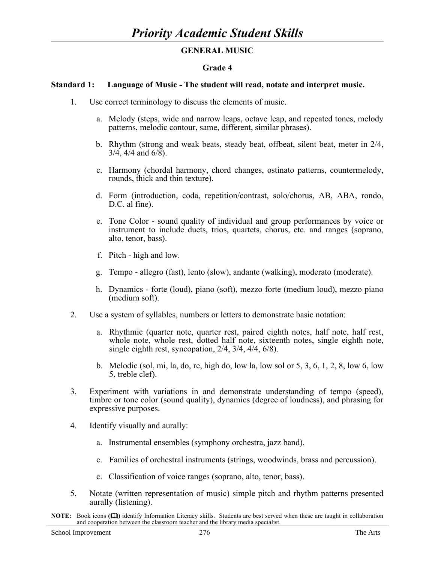# **GENERAL MUSIC**

## **Grade 4**

## **Standard 1: Language of Music - The student will read, notate and interpret music.**

- 1. Use correct terminology to discuss the elements of music.
	- a. Melody (steps, wide and narrow leaps, octave leap, and repeated tones, melody patterns, melodic contour, same, different, similar phrases).
	- b. Rhythm (strong and weak beats, steady beat, offbeat, silent beat, meter in 2/4, 3/4, 4/4 and 6/8).
	- c. Harmony (chordal harmony, chord changes, ostinato patterns, countermelody, rounds, thick and thin texture).
	- d. Form (introduction, coda, repetition/contrast, solo/chorus, AB, ABA, rondo, D.C. al fine).
	- e. Tone Color sound quality of individual and group performances by voice or instrument to include duets, trios, quartets, chorus, etc. and ranges (soprano, alto, tenor, bass).
	- f. Pitch high and low.
	- g. Tempo allegro (fast), lento (slow), andante (walking), moderato (moderate).
	- h. Dynamics forte (loud), piano (soft), mezzo forte (medium loud), mezzo piano (medium soft).
- 2. Use a system of syllables, numbers or letters to demonstrate basic notation:
	- a. Rhythmic (quarter note, quarter rest, paired eighth notes, half note, half rest, whole note, whole rest, dotted half note, sixteenth notes, single eighth note, single eighth rest, syncopation, 2/4, 3/4, 4/4, 6/8).
	- b. Melodic (sol, mi, la, do, re, high do, low la, low sol or 5, 3, 6, 1, 2, 8, low 6, low 5, treble clef).
- 3. Experiment with variations in and demonstrate understanding of tempo (speed), timbre or tone color (sound quality), dynamics (degree of loudness), and phrasing for expressive purposes.
- 4. Identify visually and aurally:
	- a. Instrumental ensembles (symphony orchestra, jazz band).
	- c. Families of orchestral instruments (strings, woodwinds, brass and percussion).
	- c. Classification of voice ranges (soprano, alto, tenor, bass).
- 5. Notate (written representation of music) simple pitch and rhythm patterns presented aurally (listening).
- **NOTE:** Book icons ( $\Box$ ) identify Information Literacy skills. Students are best served when these are taught in collaboration and cooperation between the classroom teacher and the library media specialist.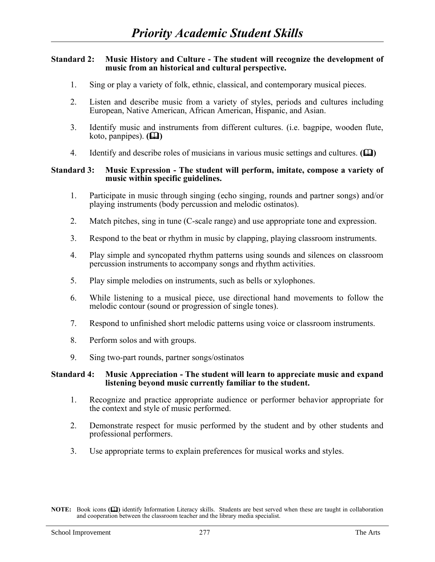## **Standard 2: Music History and Culture - The student will recognize the development of music from an historical and cultural perspective.**

- 1. Sing or play a variety of folk, ethnic, classical, and contemporary musical pieces.
- 2. Listen and describe music from a variety of styles, periods and cultures including European, Native American, African American, Hispanic, and Asian.
- 3. Identify music and instruments from different cultures. (i.e. bagpipe, wooden flute, koto, panpipes).  $(\Box)$
- 4. Identify and describe roles of musicians in various music settings and cultures.  $(\Box)$

## **Standard 3: Music Expression - The student will perform, imitate, compose a variety of music within specific guidelines.**

- 1. Participate in music through singing (echo singing, rounds and partner songs) and/or playing instruments (body percussion and melodic ostinatos).
- 2. Match pitches, sing in tune (C-scale range) and use appropriate tone and expression.
- 3. Respond to the beat or rhythm in music by clapping, playing classroom instruments.
- 4. Play simple and syncopated rhythm patterns using sounds and silences on classroom percussion instruments to accompany songs and rhythm activities.
- 5. Play simple melodies on instruments, such as bells or xylophones.
- 6. While listening to a musical piece, use directional hand movements to follow the melodic contour (sound or progression of single tones).
- 7. Respond to unfinished short melodic patterns using voice or classroom instruments.
- 8. Perform solos and with groups.
- 9. Sing two-part rounds, partner songs/ostinatos

#### **Standard 4: Music Appreciation - The student will learn to appreciate music and expand listening beyond music currently familiar to the student.**

- 1. Recognize and practice appropriate audience or performer behavior appropriate for the context and style of music performed.
- 2. Demonstrate respect for music performed by the student and by other students and professional performers.
- 3. Use appropriate terms to explain preferences for musical works and styles.

**NOTE:** Book icons ( $\Box$ ) identify Information Literacy skills. Students are best served when these are taught in collaboration and cooperation between the classroom teacher and the library media specialist.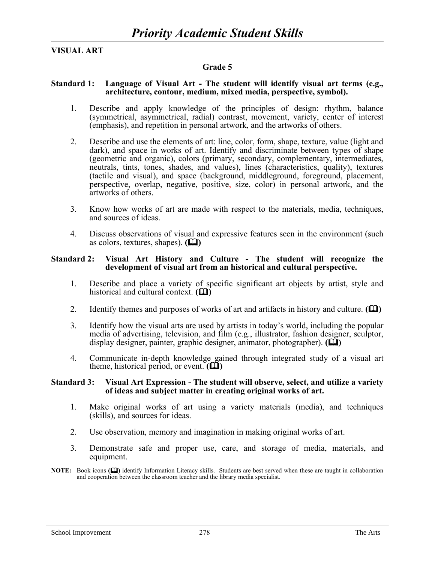# **VISUAL ART**

# **Grade 5**

## **Standard 1: Language of Visual Art - The student will identify visual art terms (e.g., architecture, contour, medium, mixed media, perspective, symbol).**

- 1. Describe and apply knowledge of the principles of design: rhythm, balance (symmetrical, asymmetrical, radial) contrast, movement, variety, center of interest (emphasis), and repetition in personal artwork, and the artworks of others.
- 2. Describe and use the elements of art: line, color, form, shape, texture, value (light and dark), and space in works of art. Identify and discriminate between types of shape (geometric and organic), colors (primary, secondary, complementary, intermediates, neutrals, tints, tones, shades, and values), lines (characteristics, quality), textures (tactile and visual), and space (background, middleground, foreground, placement, perspective, overlap, negative, positive, size, color) in personal artwork, and the artworks of others.
- 3. Know how works of art are made with respect to the materials, media, techniques, and sources of ideas.
- 4. Discuss observations of visual and expressive features seen in the environment (such as colors, textures, shapes).  $(\Box)$

#### **Standard 2: Visual Art History and Culture - The student will recognize the development of visual art from an historical and cultural perspective.**

- 1. Describe and place a variety of specific significant art objects by artist, style and historical and cultural context.  $(\Box)$
- 2. Identify themes and purposes of works of art and artifacts in history and culture. **(Q**)
- 3. Identify how the visual arts are used by artists in today's world, including the popular media of advertising, television, and film (e.g., illustrator, fashion designer, sculptor, display designer, painter, graphic designer, animator, photographer).  $(\Box)$
- 4. Communicate in-depth knowledge gained through integrated study of a visual art theme, historical period, or event.  $(\mathbf{\mathbf{\Box}})$

#### **Standard 3: Visual Art Expression - The student will observe, select, and utilize a variety of ideas and subject matter in creating original works of art.**

- 1. Make original works of art using a variety materials (media), and techniques (skills), and sources for ideas.
- 2. Use observation, memory and imagination in making original works of art.
- 3. Demonstrate safe and proper use, care, and storage of media, materials, and equipment.
- **NOTE:** Book icons ( $\Box$ ) identify Information Literacy skills. Students are best served when these are taught in collaboration and cooperation between the classroom teacher and the library media specialist.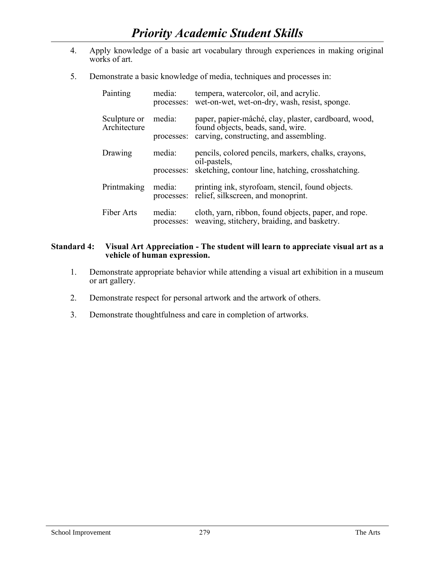- 4. Apply knowledge of a basic art vocabulary through experiences in making original works of art.
- 5. Demonstrate a basic knowledge of media, techniques and processes in:

| Painting                     | media:<br>processes: | tempera, watercolor, oil, and acrylic.<br>wet-on-wet, wet-on-dry, wash, resist, sponge.             |
|------------------------------|----------------------|-----------------------------------------------------------------------------------------------------|
| Sculpture or<br>Architecture | media:               | paper, papier-mâché, clay, plaster, cardboard, wood,<br>found objects, beads, sand, wire.           |
|                              | processes:           | carving, constructing, and assembling.                                                              |
| Drawing                      | media:               | pencils, colored pencils, markers, chalks, crayons,<br>oil-pastels,                                 |
|                              |                      | processes: sketching, contour line, hatching, crosshatching.                                        |
| Printmaking                  | media:<br>processes: | printing ink, styrofoam, stencil, found objects.<br>relief, silkscreen, and monoprint.              |
| Fiber Arts                   | media:<br>processes: | cloth, yarn, ribbon, found objects, paper, and rope.<br>weaving, stitchery, braiding, and basketry. |

# **Standard 4: Visual Art Appreciation - The student will learn to appreciate visual art as a vehicle of human expression.**

- 1. Demonstrate appropriate behavior while attending a visual art exhibition in a museum or art gallery.
- 2. Demonstrate respect for personal artwork and the artwork of others.
- 3. Demonstrate thoughtfulness and care in completion of artworks.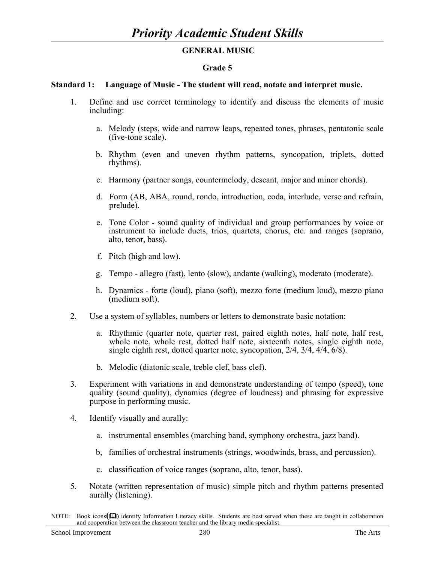# **GENERAL MUSIC**

## **Grade 5**

## **Standard 1: Language of Music - The student will read, notate and interpret music.**

- 1. Define and use correct terminology to identify and discuss the elements of music including:
	- a. Melody (steps, wide and narrow leaps, repeated tones, phrases, pentatonic scale (five-tone scale).
	- b. Rhythm (even and uneven rhythm patterns, syncopation, triplets, dotted rhythms).
	- c. Harmony (partner songs, countermelody, descant, major and minor chords).
	- d. Form (AB, ABA, round, rondo, introduction, coda, interlude, verse and refrain, prelude).
	- e. Tone Color sound quality of individual and group performances by voice or instrument to include duets, trios, quartets, chorus, etc. and ranges (soprano, alto, tenor, bass).
	- f. Pitch (high and low).
	- g. Tempo allegro (fast), lento (slow), andante (walking), moderato (moderate).
	- h. Dynamics forte (loud), piano (soft), mezzo forte (medium loud), mezzo piano (medium soft).
- 2. Use a system of syllables, numbers or letters to demonstrate basic notation:
	- a. Rhythmic (quarter note, quarter rest, paired eighth notes, half note, half rest, whole note, whole rest, dotted half note, sixteenth notes, single eighth note, single eighth rest, dotted quarter note, syncopation, 2/4, 3/4, 4/4, 6/8).
	- b. Melodic (diatonic scale, treble clef, bass clef).
- 3. Experiment with variations in and demonstrate understanding of tempo (speed), tone quality (sound quality), dynamics (degree of loudness) and phrasing for expressive purpose in performing music.
- 4. Identify visually and aurally:
	- a. instrumental ensembles (marching band, symphony orchestra, jazz band).
	- b, families of orchestral instruments (strings, woodwinds, brass, and percussion).
	- c. classification of voice ranges (soprano, alto, tenor, bass).
- 5. Notate (written representation of music) simple pitch and rhythm patterns presented aurally (listening).

NOTE: Book icons( $\Box$ ) identify Information Literacy skills. Students are best served when these are taught in collaboration and cooperation between the classroom teacher and the library media specialist.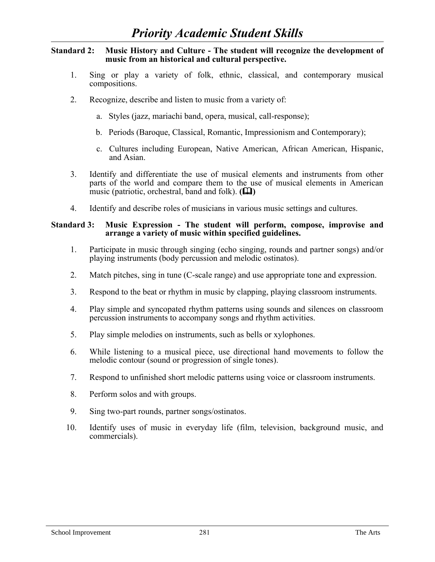## **Standard 2: Music History and Culture - The student will recognize the development of music from an historical and cultural perspective.**

- 1. Sing or play a variety of folk, ethnic, classical, and contemporary musical compositions.
- 2. Recognize, describe and listen to music from a variety of:
	- a. Styles (jazz, mariachi band, opera, musical, call-response);
	- b. Periods (Baroque, Classical, Romantic, Impressionism and Contemporary);
	- c. Cultures including European, Native American, African American, Hispanic, and Asian.
- 3. Identify and differentiate the use of musical elements and instruments from other parts of the world and compare them to the use of musical elements in American music (patriotic, orchestral, band and folk).  $(\Box \Box)$
- 4. Identify and describe roles of musicians in various music settings and cultures.

## **Standard 3: Music Expression - The student will perform, compose, improvise and arrange a variety of music within specified guidelines.**

- 1. Participate in music through singing (echo singing, rounds and partner songs) and/or playing instruments (body percussion and melodic ostinatos).
- 2. Match pitches, sing in tune (C-scale range) and use appropriate tone and expression.
- 3. Respond to the beat or rhythm in music by clapping, playing classroom instruments.
- 4. Play simple and syncopated rhythm patterns using sounds and silences on classroom percussion instruments to accompany songs and rhythm activities.
- 5. Play simple melodies on instruments, such as bells or xylophones.
- 6. While listening to a musical piece, use directional hand movements to follow the melodic contour (sound or progression of single tones).
- 7. Respond to unfinished short melodic patterns using voice or classroom instruments.
- 8. Perform solos and with groups.
- 9. Sing two-part rounds, partner songs/ostinatos.
- 10. Identify uses of music in everyday life (film, television, background music, and commercials).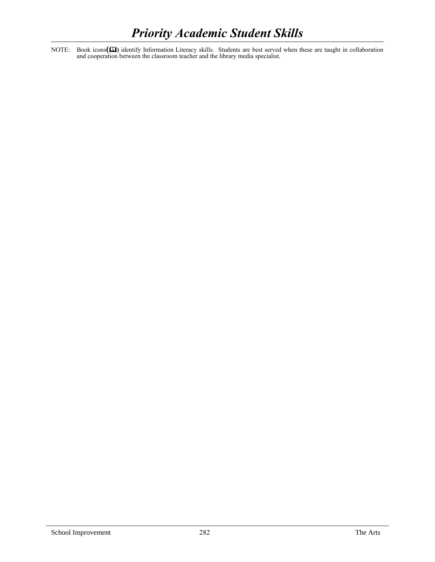NOTE: Book icons( $\Box$ ) identify Information Literacy skills. Students are best served when these are taught in collaboration and cooperation between the classroom teacher and the library media specialist.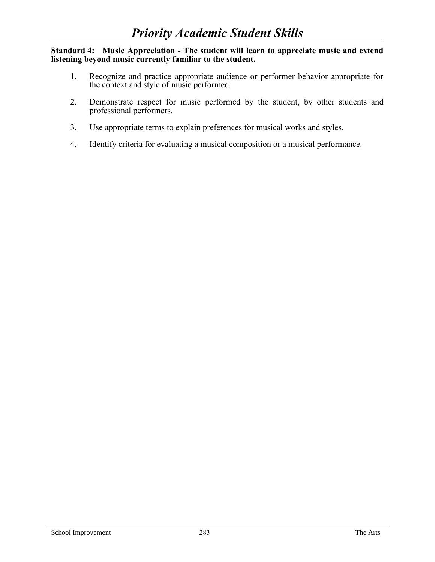**Standard 4: Music Appreciation - The student will learn to appreciate music and extend listening beyond music currently familiar to the student.** 

- 1. Recognize and practice appropriate audience or performer behavior appropriate for the context and style of music performed.
- 2. Demonstrate respect for music performed by the student, by other students and professional performers.
- 3. Use appropriate terms to explain preferences for musical works and styles.
- 4. Identify criteria for evaluating a musical composition or a musical performance.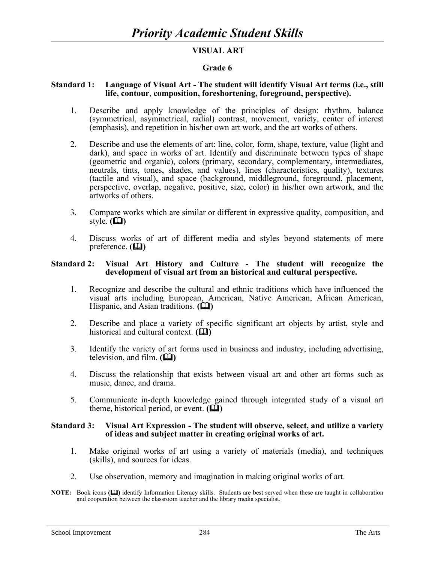# **VISUAL ART**

## **Grade 6**

#### **Standard 1: Language of Visual Art - The student will identify Visual Art terms (i.e., still life, contour**, **composition, foreshortening, foreground, perspective).**

- 1. Describe and apply knowledge of the principles of design: rhythm, balance (symmetrical, asymmetrical, radial) contrast, movement, variety, center of interest (emphasis), and repetition in his/her own art work, and the art works of others.
- 2. Describe and use the elements of art: line, color, form, shape, texture, value (light and dark), and space in works of art. Identify and discriminate between types of shape (geometric and organic), colors (primary, secondary, complementary, intermediates, neutrals, tints, tones, shades, and values), lines (characteristics, quality), textures (tactile and visual), and space (background, middleground, foreground, placement, perspective, overlap, negative, positive, size, color) in his/her own artwork, and the artworks of others.
- 3. Compare works which are similar or different in expressive quality, composition, and style.  $(\Box)$
- 4. Discuss works of art of different media and styles beyond statements of mere preference.  $(\Box)$

### **Standard 2: Visual Art History and Culture - The student will recognize the development of visual art from an historical and cultural perspective.**

- 1. Recognize and describe the cultural and ethnic traditions which have influenced the visual arts including European, American, Native American, African American, Hispanic, and Asian traditions. **(** $\Box$ **)**
- 2. Describe and place a variety of specific significant art objects by artist, style and historical and cultural context.  $(\Box)$
- 3. Identify the variety of art forms used in business and industry, including advertising, television, and film.  $(\Box)$
- 4. Discuss the relationship that exists between visual art and other art forms such as music, dance, and drama.
- 5. Communicate in-depth knowledge gained through integrated study of a visual art theme, historical period, or event.  $(\Box)$

#### **Standard 3: Visual Art Expression - The student will observe, select, and utilize a variety of ideas and subject matter in creating original works of art.**

- 1. Make original works of art using a variety of materials (media), and techniques (skills), and sources for ideas.
- 2. Use observation, memory and imagination in making original works of art.
- **NOTE:** Book icons ( $\Box$ ) identify Information Literacy skills. Students are best served when these are taught in collaboration and cooperation between the classroom teacher and the library media specialist.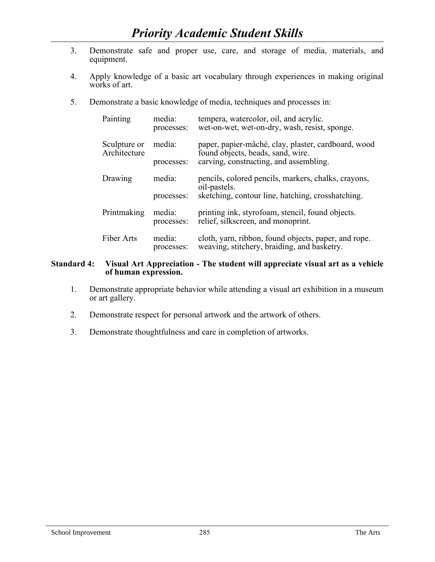- 3. Demonstrate safe and proper use, care, and storage of media, materials, and equipment.
- 4. Apply knowledge of a basic art vocabulary through experiences in making original works of art.
- 5. Demonstrate a basic knowledge of media, techniques and processes in:

| Painting                     | media:<br>processes: | tempera, watercolor, oil, and acrylic.<br>wet-on-wet, wet-on-dry, wash, resist, sponge.             |
|------------------------------|----------------------|-----------------------------------------------------------------------------------------------------|
| Sculpture or<br>Architecture | media:               | paper, papier-mâché, clay, plaster, cardboard, wood<br>found objects, beads, sand, wire.            |
|                              | processes:           | carving, constructing, and assembling.                                                              |
| Drawing                      | media:               | pencils, colored pencils, markers, chalks, crayons,<br>oil-pastels.                                 |
|                              | processes:           | sketching, contour line, hatching, crosshatching.                                                   |
| Printmaking                  | media:<br>processes: | printing ink, styrofoam, stencil, found objects.<br>relief, silkscreen, and monoprint.              |
| Fiber Arts                   | media:<br>processes: | cloth, yarn, ribbon, found objects, paper, and rope.<br>weaving, stitchery, braiding, and basketry. |

### **Standard 4: Visual Art Appreciation - The student will appreciate visual art as a vehicle of human expression.**

- 1. Demonstrate appropriate behavior while attending a visual art exhibition in a museum or art gallery.
- 2. Demonstrate respect for personal artwork and the artwork of others.
- 3. Demonstrate thoughtfulness and care in completion of artworks.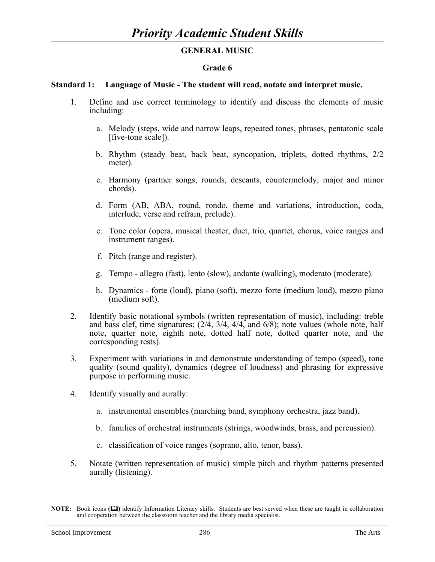# **GENERAL MUSIC**

## **Grade 6**

## **Standard 1: Language of Music - The student will read, notate and interpret music.**

- 1. Define and use correct terminology to identify and discuss the elements of music including:
	- a. Melody (steps, wide and narrow leaps, repeated tones, phrases, pentatonic scale [five-tone scale]).
	- b. Rhythm (steady beat, back beat, syncopation, triplets, dotted rhythms, 2/2 meter).
	- c. Harmony (partner songs, rounds, descants, countermelody, major and minor chords).
	- d. Form (AB, ABA, round, rondo, theme and variations, introduction, coda, interlude, verse and refrain, prelude).
	- e. Tone color (opera, musical theater, duet, trio, quartet, chorus, voice ranges and instrument ranges).
	- f. Pitch (range and register).
	- g. Tempo allegro (fast), lento (slow), andante (walking), moderato (moderate).
	- h. Dynamics forte (loud), piano (soft), mezzo forte (medium loud), mezzo piano (medium soft).
- 2. Identify basic notational symbols (written representation of music), including: treble and bass clef, time signatures;  $(2/4, 3/4, 4/4,$  and  $6/8)$ ; note values (whole note, half note, quarter note, eighth note, dotted half note, dotted quarter note, and the corresponding rests).
- 3. Experiment with variations in and demonstrate understanding of tempo (speed), tone quality (sound quality), dynamics (degree of loudness) and phrasing for expressive purpose in performing music.
- 4. Identify visually and aurally:
	- a. instrumental ensembles (marching band, symphony orchestra, jazz band).
	- b. families of orchestral instruments (strings, woodwinds, brass, and percussion).
	- c. classification of voice ranges (soprano, alto, tenor, bass).
- 5. Notate (written representation of music) simple pitch and rhythm patterns presented aurally (listening).

**NOTE:** Book icons ( $\Box$ ) identify Information Literacy skills. Students are best served when these are taught in collaboration and cooperation between the classroom teacher and the library media specialist.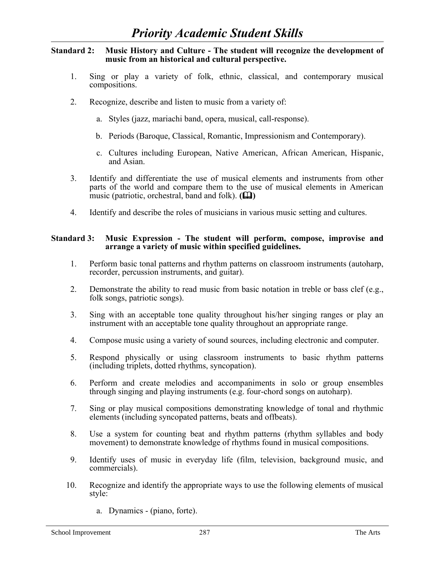## **Standard 2: Music History and Culture - The student will recognize the development of music from an historical and cultural perspective.**

- 1. Sing or play a variety of folk, ethnic, classical, and contemporary musical compositions.
- 2. Recognize, describe and listen to music from a variety of:
	- a. Styles (jazz, mariachi band, opera, musical, call-response).
	- b. Periods (Baroque, Classical, Romantic, Impressionism and Contemporary).
	- c. Cultures including European, Native American, African American, Hispanic, and Asian.
- 3. Identify and differentiate the use of musical elements and instruments from other parts of the world and compare them to the use of musical elements in American music (patriotic, orchestral, band and folk).  $(\Box \Box)$
- 4. Identify and describe the roles of musicians in various music setting and cultures.

## **Standard 3: Music Expression - The student will perform, compose, improvise and arrange a variety of music within specified guidelines.**

- 1. Perform basic tonal patterns and rhythm patterns on classroom instruments (autoharp, recorder, percussion instruments, and guitar).
- 2. Demonstrate the ability to read music from basic notation in treble or bass clef (e.g., folk songs, patriotic songs).
- 3. Sing with an acceptable tone quality throughout his/her singing ranges or play an instrument with an acceptable tone quality throughout an appropriate range.
- 4. Compose music using a variety of sound sources, including electronic and computer.
- 5. Respond physically or using classroom instruments to basic rhythm patterns (including triplets, dotted rhythms, syncopation).
- 6. Perform and create melodies and accompaniments in solo or group ensembles through singing and playing instruments (e.g. four-chord songs on autoharp).
- 7. Sing or play musical compositions demonstrating knowledge of tonal and rhythmic elements (including syncopated patterns, beats and offbeats).
- 8. Use a system for counting beat and rhythm patterns (rhythm syllables and body movement) to demonstrate knowledge of rhythms found in musical compositions.
- 9. Identify uses of music in everyday life (film, television, background music, and commercials).
- 10. Recognize and identify the appropriate ways to use the following elements of musical style:
	- a. Dynamics (piano, forte).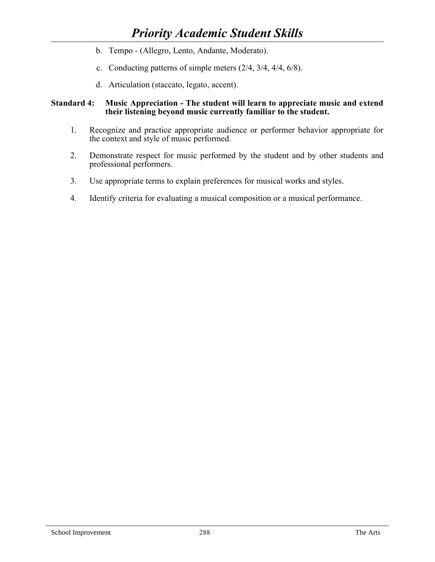- b. Tempo (Allegro, Lento, Andante, Moderato).
- c. Conducting patterns of simple meters (2/4, 3/4, 4/4, 6/8).
- d. Articulation (staccato, legato, accent).

## **Standard 4: Music Appreciation - The student will learn to appreciate music and extend their listening beyond music currently familiar to the student.**

- 1. Recognize and practice appropriate audience or performer behavior appropriate for the context and style of music performed.
- 2. Demonstrate respect for music performed by the student and by other students and professional performers.
- 3. Use appropriate terms to explain preferences for musical works and styles.
- 4. Identify criteria for evaluating a musical composition or a musical performance.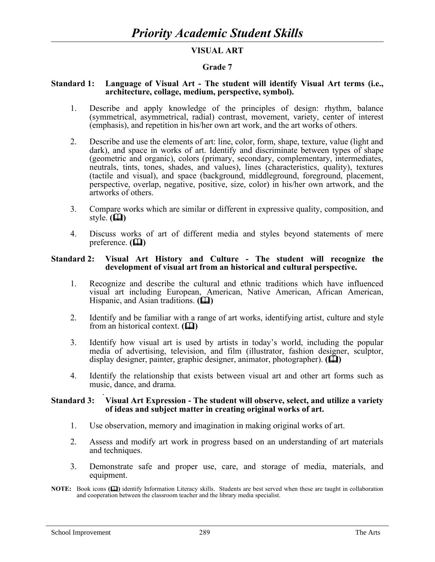# **VISUAL ART**

#### **Grade 7**

#### **Standard 1: Language of Visual Art - The student will identify Visual Art terms (i.e., architecture, collage, medium, perspective, symbol).**

- 1. Describe and apply knowledge of the principles of design: rhythm, balance (symmetrical, asymmetrical, radial) contrast, movement, variety, center of interest (emphasis), and repetition in his/her own art work, and the art works of others.
- 2. Describe and use the elements of art: line, color, form, shape, texture, value (light and dark), and space in works of art. Identify and discriminate between types of shape (geometric and organic), colors (primary, secondary, complementary, intermediates, neutrals, tints, tones, shades, and values), lines (characteristics, quality), textures (tactile and visual), and space (background, middleground, foreground, placement, perspective, overlap, negative, positive, size, color) in his/her own artwork, and the artworks of others.
- 3. Compare works which are similar or different in expressive quality, composition, and style.  $(\Box)$
- 4. Discuss works of art of different media and styles beyond statements of mere preference.  $(\Box)$

#### **Standard 2: Visual Art History and Culture - The student will recognize the development of visual art from an historical and cultural perspective.**

- 1. Recognize and describe the cultural and ethnic traditions which have influenced visual art including European, American, Native American, African American, Hispanic, and Asian traditions. **(** $\Box$ **)**
- 2. Identify and be familiar with a range of art works, identifying artist, culture and style from an historical context.  $(\Box)$
- 3. Identify how visual art is used by artists in today's world, including the popular media of advertising, television, and film (illustrator, fashion designer, sculptor, display designer, painter, graphic designer, animator, photographer).  $(\Box)$
- 4. Identify the relationship that exists between visual art and other art forms such as music, dance, and drama.

#### . **Standard 3: Visual Art Expression - The student will observe, select, and utilize a variety of ideas and subject matter in creating original works of art.**

- 1. Use observation, memory and imagination in making original works of art.
- 2. Assess and modify art work in progress based on an understanding of art materials and techniques.
- 3. Demonstrate safe and proper use, care, and storage of media, materials, and equipment.
- **NOTE:** Book icons **()** identify Information Literacy skills. Students are best served when these are taught in collaboration and cooperation between the classroom teacher and the library media specialist.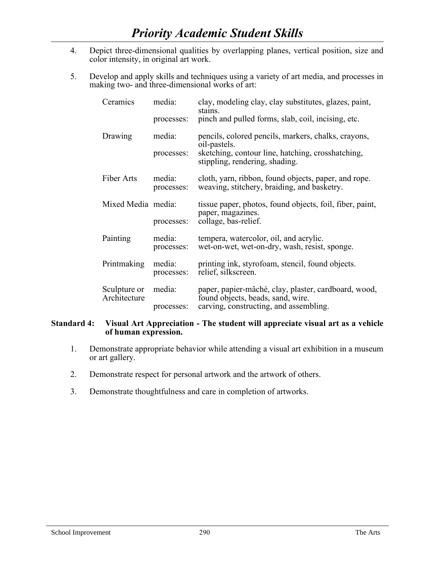- 4. Depict three-dimensional qualities by overlapping planes, vertical position, size and color intensity, in original art work.
- 5. Develop and apply skills and techniques using a variety of art media, and processes in making two- and three-dimensional works of art:

| Ceramics                     | media:               | clay, modeling clay, clay substitutes, glazes, paint,<br>stains.                                    |
|------------------------------|----------------------|-----------------------------------------------------------------------------------------------------|
|                              | processes:           | pinch and pulled forms, slab, coil, incising, etc.                                                  |
| Drawing                      | media:               | pencils, colored pencils, markers, chalks, crayons,<br>oil-pastels.                                 |
|                              | processes:           | sketching, contour line, hatching, crosshatching,<br>stippling, rendering, shading.                 |
| Fiber Arts                   | media:<br>processes: | cloth, yarn, ribbon, found objects, paper, and rope.<br>weaving, stitchery, braiding, and basketry. |
| Mixed Media media:           |                      | tissue paper, photos, found objects, foil, fiber, paint,<br>paper, magazines.                       |
|                              | processes:           | collage, bas-relief.                                                                                |
| Painting                     | media:<br>processes: | tempera, watercolor, oil, and acrylic.<br>wet-on-wet, wet-on-dry, wash, resist, sponge.             |
| Printmaking                  | media:<br>processes: | printing ink, styrofoam, stencil, found objects.<br>relief, silkscreen.                             |
| Sculpture or<br>Architecture | media:               | paper, papier-mâché, clay, plaster, cardboard, wood,<br>found objects, beads, sand, wire.           |
|                              | processes:           | carving, constructing, and assembling.                                                              |

## **Standard 4: Visual Art Appreciation - The student will appreciate visual art as a vehicle of human expression.**

- 1. Demonstrate appropriate behavior while attending a visual art exhibition in a museum or art gallery.
- 2. Demonstrate respect for personal artwork and the artwork of others.
- 3. Demonstrate thoughtfulness and care in completion of artworks.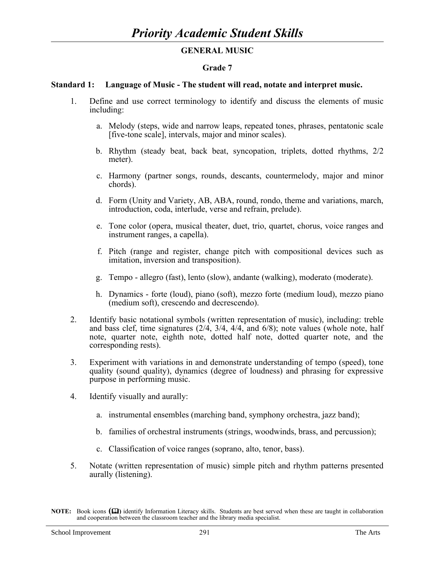# **GENERAL MUSIC**

## **Grade 7**

## **Standard 1: Language of Music - The student will read, notate and interpret music.**

- 1. Define and use correct terminology to identify and discuss the elements of music including:
	- a. Melody (steps, wide and narrow leaps, repeated tones, phrases, pentatonic scale [five-tone scale], intervals, major and minor scales).
	- b. Rhythm (steady beat, back beat, syncopation, triplets, dotted rhythms, 2/2 meter).
	- c. Harmony (partner songs, rounds, descants, countermelody, major and minor chords).
	- d. Form (Unity and Variety, AB, ABA, round, rondo, theme and variations, march, introduction, coda, interlude, verse and refrain, prelude).
	- e. Tone color (opera, musical theater, duet, trio, quartet, chorus, voice ranges and instrument ranges, a capella).
	- f. Pitch (range and register, change pitch with compositional devices such as imitation, inversion and transposition).
	- g. Tempo allegro (fast), lento (slow), andante (walking), moderato (moderate).
	- h. Dynamics forte (loud), piano (soft), mezzo forte (medium loud), mezzo piano (medium soft), crescendo and decrescendo).
- 2. Identify basic notational symbols (written representation of music), including: treble and bass clef, time signatures (2/4, 3/4, 4/4, and 6/8); note values (whole note, half note, quarter note, eighth note, dotted half note, dotted quarter note, and the corresponding rests).
- 3. Experiment with variations in and demonstrate understanding of tempo (speed), tone quality (sound quality), dynamics (degree of loudness) and phrasing for expressive purpose in performing music.
- 4. Identify visually and aurally:
	- a. instrumental ensembles (marching band, symphony orchestra, jazz band);
	- b. families of orchestral instruments (strings, woodwinds, brass, and percussion);
	- c. Classification of voice ranges (soprano, alto, tenor, bass).
- 5. Notate (written representation of music) simple pitch and rhythm patterns presented aurally (listening).

**NOTE:** Book icons  $(\mathbf{\Omega})$  identify Information Literacy skills. Students are best served when these are taught in collaboration and cooperation between the classroom teacher and the library media specialist.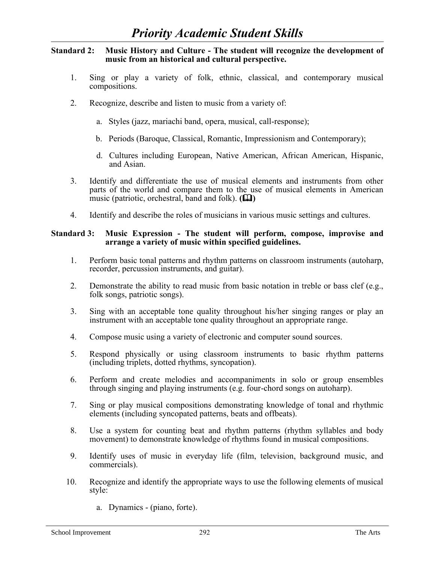## **Standard 2: Music History and Culture - The student will recognize the development of music from an historical and cultural perspective.**

- 1. Sing or play a variety of folk, ethnic, classical, and contemporary musical compositions.
- 2. Recognize, describe and listen to music from a variety of:
	- a. Styles (jazz, mariachi band, opera, musical, call-response);
	- b. Periods (Baroque, Classical, Romantic, Impressionism and Contemporary);
	- d. Cultures including European, Native American, African American, Hispanic, and Asian.
- 3. Identify and differentiate the use of musical elements and instruments from other parts of the world and compare them to the use of musical elements in American music (patriotic, orchestral, band and folk).  $(\Box \Box)$
- 4. Identify and describe the roles of musicians in various music settings and cultures.

### **Standard 3: Music Expression - The student will perform, compose, improvise and arrange a variety of music within specified guidelines.**

- 1. Perform basic tonal patterns and rhythm patterns on classroom instruments (autoharp, recorder, percussion instruments, and guitar).
- 2. Demonstrate the ability to read music from basic notation in treble or bass clef (e.g., folk songs, patriotic songs).
- 3. Sing with an acceptable tone quality throughout his/her singing ranges or play an instrument with an acceptable tone quality throughout an appropriate range.
- 4. Compose music using a variety of electronic and computer sound sources.
- 5. Respond physically or using classroom instruments to basic rhythm patterns (including triplets, dotted rhythms, syncopation).
- 6. Perform and create melodies and accompaniments in solo or group ensembles through singing and playing instruments (e.g. four-chord songs on autoharp).
- 7. Sing or play musical compositions demonstrating knowledge of tonal and rhythmic elements (including syncopated patterns, beats and offbeats).
- 8. Use a system for counting beat and rhythm patterns (rhythm syllables and body movement) to demonstrate knowledge of rhythms found in musical compositions.
- 9. Identify uses of music in everyday life (film, television, background music, and commercials).
- 10. Recognize and identify the appropriate ways to use the following elements of musical style:
	- a. Dynamics (piano, forte).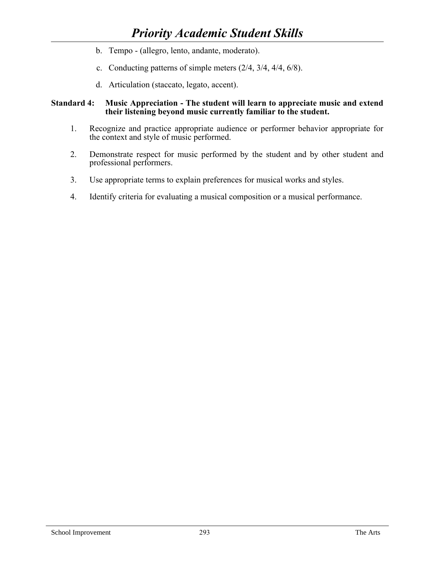- b. Tempo (allegro, lento, andante, moderato).
- c. Conducting patterns of simple meters (2/4, 3/4, 4/4, 6/8).
- d. Articulation (staccato, legato, accent).

## **Standard 4: Music Appreciation - The student will learn to appreciate music and extend their listening beyond music currently familiar to the student.**

- 1. Recognize and practice appropriate audience or performer behavior appropriate for the context and style of music performed.
- 2. Demonstrate respect for music performed by the student and by other student and professional performers.
- 3. Use appropriate terms to explain preferences for musical works and styles.
- 4. Identify criteria for evaluating a musical composition or a musical performance.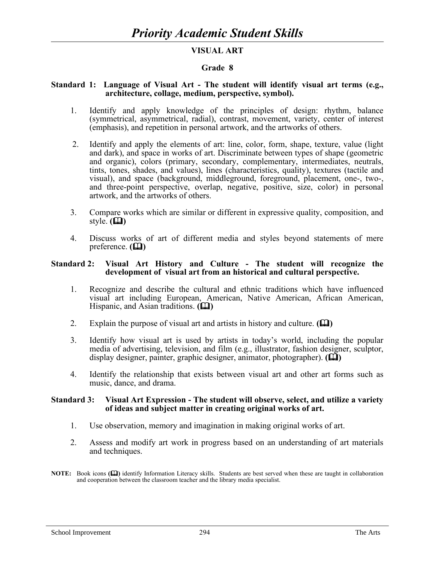# **VISUAL ART**

#### **Grade 8**

#### **Standard 1: Language of Visual Art - The student will identify visual art terms (e.g., architecture, collage, medium, perspective, symbol).**

- 1. Identify and apply knowledge of the principles of design: rhythm, balance (symmetrical, asymmetrical, radial), contrast, movement, variety, center of interest (emphasis), and repetition in personal artwork, and the artworks of others.
- 2. Identify and apply the elements of art: line, color, form, shape, texture, value (light and dark), and space in works of art. Discriminate between types of shape (geometric and organic), colors (primary, secondary, complementary, intermediates, neutrals, tints, tones, shades, and values), lines (characteristics, quality), textures (tactile and visual), and space (background, middleground, foreground, placement, one-, two-, and three-point perspective, overlap, negative, positive, size, color) in personal artwork, and the artworks of others.
- 3. Compare works which are similar or different in expressive quality, composition, and style.  $(\Box)$
- 4. Discuss works of art of different media and styles beyond statements of mere preference.  $(\Box)$

#### **Standard 2: Visual Art History and Culture - The student will recognize the development of visual art from an historical and cultural perspective.**

- 1. Recognize and describe the cultural and ethnic traditions which have influenced visual art including European, American, Native American, African American, Hispanic, and Asian traditions. **(** $\Box$ **)**
- 2. Explain the purpose of visual art and artists in history and culture.  $(\Box)$
- 3. Identify how visual art is used by artists in today's world, including the popular media of advertising, television, and film (e.g., illustrator, fashion designer, sculptor, display designer, painter, graphic designer, animator, photographer).  $(\Box)$
- 4. Identify the relationship that exists between visual art and other art forms such as music, dance, and drama.

#### **Standard 3: Visual Art Expression - The student will observe, select, and utilize a variety of ideas and subject matter in creating original works of art.**

- 1. Use observation, memory and imagination in making original works of art.
- 2. Assess and modify art work in progress based on an understanding of art materials and techniques.
- **NOTE:** Book icons ( $\Box$ ) identify Information Literacy skills. Students are best served when these are taught in collaboration and cooperation between the classroom teacher and the library media specialist.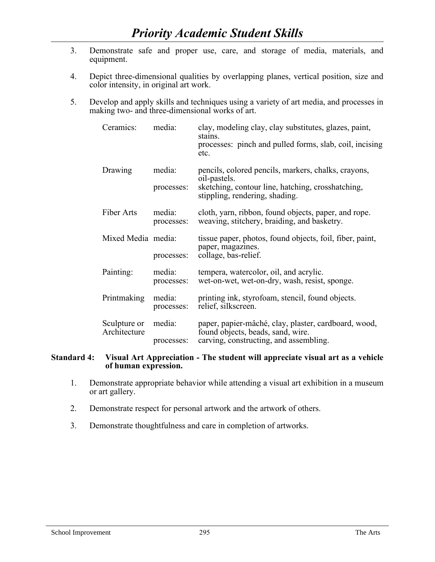- 3. Demonstrate safe and proper use, care, and storage of media, materials, and equipment.
- 4. Depict three-dimensional qualities by overlapping planes, vertical position, size and color intensity, in original art work.
- 5. Develop and apply skills and techniques using a variety of art media, and processes in making two- and three-dimensional works of art.

| Ceramics:                    | media:               | clay, modeling clay, clay substitutes, glazes, paint,<br>stains.<br>processes: pinch and pulled forms, slab, coil, incising<br>etc. |
|------------------------------|----------------------|-------------------------------------------------------------------------------------------------------------------------------------|
| Drawing                      | media:               | pencils, colored pencils, markers, chalks, crayons,<br>oil-pastels.                                                                 |
|                              | processes:           | sketching, contour line, hatching, crosshatching,<br>stippling, rendering, shading.                                                 |
| Fiber Arts                   | media:<br>processes: | cloth, yarn, ribbon, found objects, paper, and rope.<br>weaving, stitchery, braiding, and basketry.                                 |
| Mixed Media media:           |                      | tissue paper, photos, found objects, foil, fiber, paint,<br>paper, magazines.                                                       |
|                              | processes:           | collage, bas-relief.                                                                                                                |
| Painting:                    | media:<br>processes: | tempera, watercolor, oil, and acrylic.<br>wet-on-wet, wet-on-dry, wash, resist, sponge.                                             |
| Printmaking                  | media:<br>processes: | printing ink, styrofoam, stencil, found objects.<br>relief, silkscreen.                                                             |
| Sculpture or<br>Architecture | media:<br>processes: | paper, papier-mâché, clay, plaster, cardboard, wood,<br>found objects, beads, sand, wire.<br>carving, constructing, and assembling. |

#### **Standard 4: Visual Art Appreciation - The student will appreciate visual art as a vehicle of human expression.**

- 1. Demonstrate appropriate behavior while attending a visual art exhibition in a museum or art gallery.
- 2. Demonstrate respect for personal artwork and the artwork of others.
- 3. Demonstrate thoughtfulness and care in completion of artworks.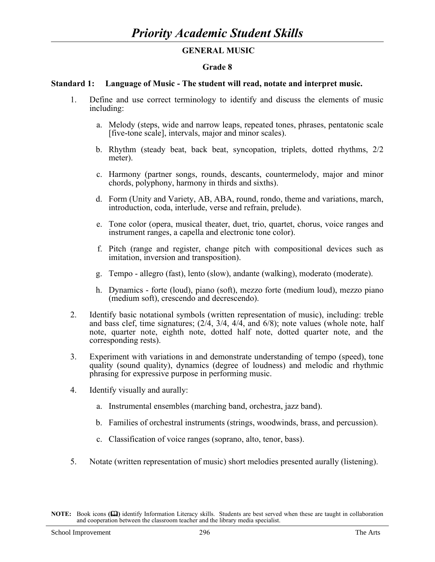## **GENERAL MUSIC**

### **Grade 8**

### **Standard 1: Language of Music - The student will read, notate and interpret music.**

- 1. Define and use correct terminology to identify and discuss the elements of music including:
	- a. Melody (steps, wide and narrow leaps, repeated tones, phrases, pentatonic scale [five-tone scale], intervals, major and minor scales).
	- b. Rhythm (steady beat, back beat, syncopation, triplets, dotted rhythms, 2/2 meter).
	- c. Harmony (partner songs, rounds, descants, countermelody, major and minor chords, polyphony, harmony in thirds and sixths).
	- d. Form (Unity and Variety, AB, ABA, round, rondo, theme and variations, march, introduction, coda, interlude, verse and refrain, prelude).
	- e. Tone color (opera, musical theater, duet, trio, quartet, chorus, voice ranges and instrument ranges, a capella and electronic tone color).
	- f. Pitch (range and register, change pitch with compositional devices such as imitation, inversion and transposition).
	- g. Tempo allegro (fast), lento (slow), andante (walking), moderato (moderate).
	- h. Dynamics forte (loud), piano (soft), mezzo forte (medium loud), mezzo piano (medium soft), crescendo and decrescendo).
- 2. Identify basic notational symbols (written representation of music), including: treble and bass clef, time signatures;  $(2/4, 3/4, 4/4,$  and  $6/8)$ ; note values (whole note, half note, quarter note, eighth note, dotted half note, dotted quarter note, and the corresponding rests).
- 3. Experiment with variations in and demonstrate understanding of tempo (speed), tone quality (sound quality), dynamics (degree of loudness) and melodic and rhythmic phrasing for expressive purpose in performing music.
- 4. Identify visually and aurally:
	- a. Instrumental ensembles (marching band, orchestra, jazz band).
	- b. Families of orchestral instruments (strings, woodwinds, brass, and percussion).
	- c. Classification of voice ranges (soprano, alto, tenor, bass).
- 5. Notate (written representation of music) short melodies presented aurally (listening).

**NOTE:** Book icons **()** identify Information Literacy skills. Students are best served when these are taught in collaboration and cooperation between the classroom teacher and the library media specialist.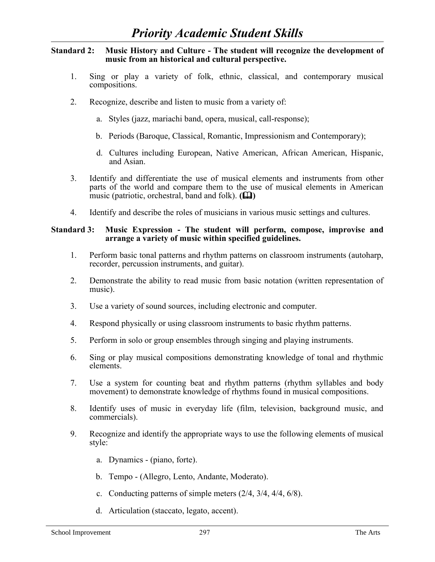## **Standard 2: Music History and Culture - The student will recognize the development of music from an historical and cultural perspective.**

- 1. Sing or play a variety of folk, ethnic, classical, and contemporary musical compositions.
- 2. Recognize, describe and listen to music from a variety of:
	- a. Styles (jazz, mariachi band, opera, musical, call-response);
	- b. Periods (Baroque, Classical, Romantic, Impressionism and Contemporary);
	- d. Cultures including European, Native American, African American, Hispanic, and Asian.
- 3. Identify and differentiate the use of musical elements and instruments from other parts of the world and compare them to the use of musical elements in American music (patriotic, orchestral, band and folk).  $(\Box \Box)$
- 4. Identify and describe the roles of musicians in various music settings and cultures.

## **Standard 3: Music Expression - The student will perform, compose, improvise and arrange a variety of music within specified guidelines.**

- 1. Perform basic tonal patterns and rhythm patterns on classroom instruments (autoharp, recorder, percussion instruments, and guitar).
- 2. Demonstrate the ability to read music from basic notation (written representation of music).
- 3. Use a variety of sound sources, including electronic and computer.
- 4. Respond physically or using classroom instruments to basic rhythm patterns.
- 5. Perform in solo or group ensembles through singing and playing instruments.
- 6. Sing or play musical compositions demonstrating knowledge of tonal and rhythmic elements.
- 7. Use a system for counting beat and rhythm patterns (rhythm syllables and body movement) to demonstrate knowledge of rhythms found in musical compositions.
- 8. Identify uses of music in everyday life (film, television, background music, and commercials).
- 9. Recognize and identify the appropriate ways to use the following elements of musical style:
	- a. Dynamics (piano, forte).
	- b. Tempo (Allegro, Lento, Andante, Moderato).
	- c. Conducting patterns of simple meters (2/4, 3/4, 4/4, 6/8).
	- d. Articulation (staccato, legato, accent).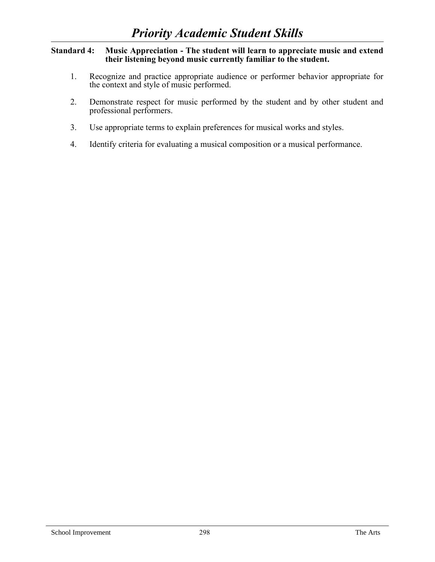## **Standard 4: Music Appreciation - The student will learn to appreciate music and extend their listening beyond music currently familiar to the student.**

- 1. Recognize and practice appropriate audience or performer behavior appropriate for the context and style of music performed.
- 2. Demonstrate respect for music performed by the student and by other student and professional performers.
- 3. Use appropriate terms to explain preferences for musical works and styles.
- 4. Identify criteria for evaluating a musical composition or a musical performance.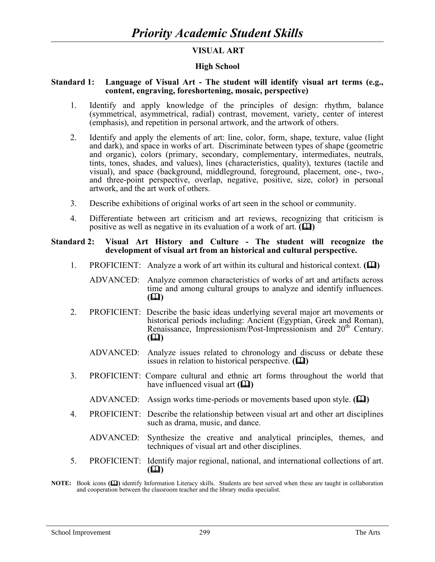## **VISUAL ART**

# **High School**

### **Standard 1: Language of Visual Art - The student will identify visual art terms (e.g., content, engraving, foreshortening, mosaic, perspective)**

- 1. Identify and apply knowledge of the principles of design: rhythm, balance (symmetrical, asymmetrical, radial) contrast, movement, variety, center of interest (emphasis), and repetition in personal artwork, and the artwork of others.
- 2. Identify and apply the elements of art: line, color, form, shape, texture, value (light and dark), and space in works of art. Discriminate between types of shape (geometric and organic), colors (primary, secondary, complementary, intermediates, neutrals, tints, tones, shades, and values), lines (characteristics, quality), textures (tactile and visual), and space (background, middleground, foreground, placement, one-, two-, and three-point perspective, overlap, negative, positive, size, color) in personal artwork, and the art work of others.
- 3. Describe exhibitions of original works of art seen in the school or community.
- 4. Differentiate between art criticism and art reviews, recognizing that criticism is positive as well as negative in its evaluation of a work of art. **()**

#### **Standard 2: Visual Art History and Culture - The student will recognize the development of visual art from an historical and cultural perspective.**

1. PROFICIENT: Analyze a work of art within its cultural and historical context. **(** $\Box$ **)** 

 ADVANCED: Analyze common characteristics of works of art and artifacts across time and among cultural groups to analyze and identify influences.  $($ 

- 2. PROFICIENT: Describe the basic ideas underlying several major art movements or historical periods including: Ancient (Egyptian, Greek and Roman), Renaissance, Impressionism/Post-Impressionism and 20<sup>th</sup> Century.  $($ 
	- ADVANCED: Analyze issues related to chronology and discuss or debate these issues in relation to historical perspective.  $(\Box)$
- 3. PROFICIENT: Compare cultural and ethnic art forms throughout the world that have influenced visual art  $(\Box)$ 
	- ADVANCED: Assign works time-periods or movements based upon style. **()**
- 4. PROFICIENT: Describe the relationship between visual art and other art disciplines such as drama, music, and dance.
	- ADVANCED: Synthesize the creative and analytical principles, themes, and techniques of visual art and other disciplines.
- 5. PROFICIENT: Identify major regional, national, and international collections of art.  $($

**NOTE:** Book icons ( $\Box$ ) identify Information Literacy skills. Students are best served when these are taught in collaboration and cooperation between the classroom teacher and the library media specialist.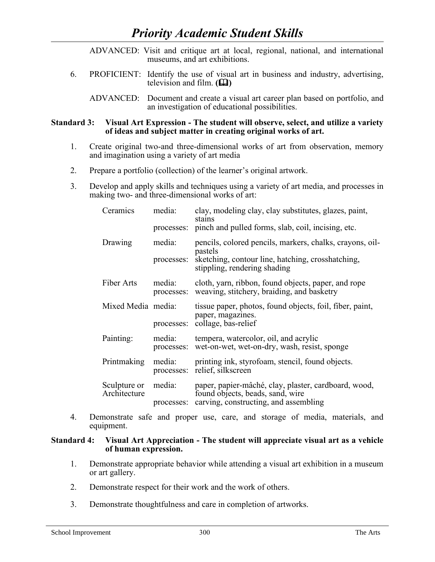|                                                                                                                                                                         | ADVANCED: Visit and critique art at local, regional, national, and international<br>museums, and art exhibitions.                         |  |
|-------------------------------------------------------------------------------------------------------------------------------------------------------------------------|-------------------------------------------------------------------------------------------------------------------------------------------|--|
| 6.                                                                                                                                                                      | PROFICIENT: Identify the use of visual art in business and industry, advertising,<br>television and film. $(\Box)$                        |  |
|                                                                                                                                                                         | ADVANCED: Document and create a visual art career plan based on portfolio, and<br>an investigation of educational possibilities.          |  |
| <b>Standard 3:</b><br>Visual Art Expression - The student will observe, select, and utilize a variety<br>of ideas and subject matter in creating original works of art. |                                                                                                                                           |  |
| $1_{-}$                                                                                                                                                                 | Create original two-and three-dimensional works of art from observation, memory<br>and imagination using a variety of art media           |  |
| 2.                                                                                                                                                                      | Prepare a portfolio (collection) of the learner's original artwork.                                                                       |  |
| 3.                                                                                                                                                                      | Develop and apply skills and techniques using a variety of art media, and processes in<br>making two- and three-dimensional works of art: |  |
|                                                                                                                                                                         | clay, modeling clay, clay substitutes, glazes, paint,<br>media:<br>Ceramics                                                               |  |

|                              |                      | $\mathcal{L}(u, v)$ , modernig energy, energy substitutes, grapes, pairing,<br>stains<br>processes: pinch and pulled forms, slab, coil, incising, etc. |
|------------------------------|----------------------|--------------------------------------------------------------------------------------------------------------------------------------------------------|
| Drawing                      | media:               | pencils, colored pencils, markers, chalks, crayons, oil-<br>pastels                                                                                    |
|                              | processes:           | sketching, contour line, hatching, crosshatching,<br>stippling, rendering shading                                                                      |
| Fiber Arts                   | media:               | cloth, yarn, ribbon, found objects, paper, and rope<br>processes: weaving, stitchery, braiding, and basketry                                           |
| Mixed Media media:           |                      | tissue paper, photos, found objects, foil, fiber, paint,<br>paper, magazines.<br>processes: collage, bas-relief                                        |
| Painting:                    | media:<br>processes: | tempera, watercolor, oil, and acrylic<br>wet-on-wet, wet-on-dry, wash, resist, sponge                                                                  |
| Printmaking                  | media:<br>processes: | printing ink, styrofoam, stencil, found objects.<br>relief, silkscreen                                                                                 |
| Sculpture or<br>Architecture | media:               | paper, papier-mâché, clay, plaster, cardboard, wood,<br>found objects, beads, sand, wire                                                               |
|                              | processes:           | carving, constructing, and assembling                                                                                                                  |

4. Demonstrate safe and proper use, care, and storage of media, materials, and equipment.

# **Standard 4: Visual Art Appreciation - The student will appreciate visual art as a vehicle of human expression.**

- 1. Demonstrate appropriate behavior while attending a visual art exhibition in a museum or art gallery.
- 2. Demonstrate respect for their work and the work of others.
- 3. Demonstrate thoughtfulness and care in completion of artworks.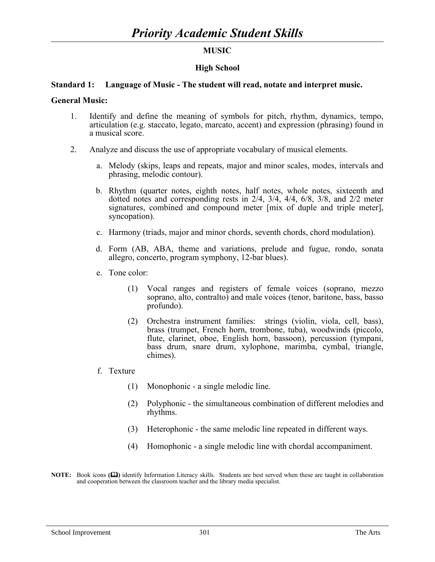# **MUSIC**

## **High School**

#### **Standard 1: Language of Music - The student will read, notate and interpret music.**

#### **General Music:**

- 1. Identify and define the meaning of symbols for pitch, rhythm, dynamics, tempo, articulation (e.g. staccato, legato, marcato, accent) and expression (phrasing) found in a musical score.
- 2. Analyze and discuss the use of appropriate vocabulary of musical elements.
	- a. Melody (skips, leaps and repeats, major and minor scales, modes, intervals and phrasing, melodic contour).
	- b. Rhythm (quarter notes, eighth notes, half notes, whole notes, sixteenth and dotted notes and corresponding rests in 2/4, 3/4, 4/4, 6/8, 3/8, and 2/2 meter signatures, combined and compound meter [mix of duple and triple meter], syncopation).
	- c. Harmony (triads, major and minor chords, seventh chords, chord modulation).
	- d. Form (AB, ABA, theme and variations, prelude and fugue, rondo, sonata allegro, concerto, program symphony, 12-bar blues).
	- e. Tone color:
		- (1) Vocal ranges and registers of female voices (soprano, mezzo soprano, alto, contralto) and male voices (tenor, baritone, bass, basso profundo).
		- (2) Orchestra instrument families: strings (violin, viola, cell, bass), brass (trumpet, French horn, trombone, tuba), woodwinds (piccolo, flute, clarinet, oboe, English horn, bassoon), percussion (tympani, bass drum, snare drum, xylophone, marimba, cymbal, triangle, chimes).
	- f. Texture
		- (1) Monophonic a single melodic line.
		- (2) Polyphonic the simultaneous combination of different melodies and rhythms.
		- (3) Heterophonic the same melodic line repeated in different ways.
		- (4) Homophonic a single melodic line with chordal accompaniment.
- **NOTE:** Book icons ( $\Box$ ) identify Information Literacy skills. Students are best served when these are taught in collaboration and cooperation between the classroom teacher and the library media specialist.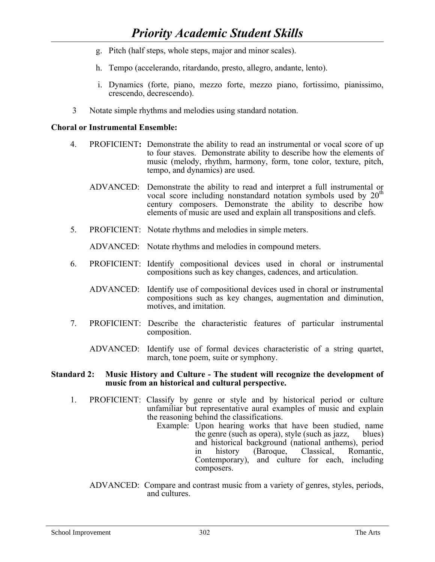- g. Pitch (half steps, whole steps, major and minor scales).
- h. Tempo (accelerando, ritardando, presto, allegro, andante, lento).
- i. Dynamics (forte, piano, mezzo forte, mezzo piano, fortissimo, pianissimo, crescendo, decrescendo).
- 3 Notate simple rhythms and melodies using standard notation.

# **Choral or Instrumental Ensemble:**

- 4. PROFICIENT**:** Demonstrate the ability to read an instrumental or vocal score of up to four staves. Demonstrate ability to describe how the elements of music (melody, rhythm, harmony, form, tone color, texture, pitch, tempo, and dynamics) are used.
	- ADVANCED: Demonstrate the ability to read and interpret a full instrumental or vocal score including nonstandard notation symbols used by  $20<sup>t</sup>$ century composers. Demonstrate the ability to describe how elements of music are used and explain all transpositions and clefs.
- 5. PROFICIENT: Notate rhythms and melodies in simple meters.

ADVANCED: Notate rhythms and melodies in compound meters.

- 6. PROFICIENT: Identify compositional devices used in choral or instrumental compositions such as key changes, cadences, and articulation.
	- ADVANCED: Identify use of compositional devices used in choral or instrumental compositions such as key changes, augmentation and diminution, motives, and imitation.
- 7. PROFICIENT: Describe the characteristic features of particular instrumental composition.
	- ADVANCED: Identify use of formal devices characteristic of a string quartet, march, tone poem, suite or symphony.

## **Standard 2: Music History and Culture - The student will recognize the development of music from an historical and cultural perspective.**

- 1. PROFICIENT: Classify by genre or style and by historical period or culture unfamiliar but representative aural examples of music and explain the reasoning behind the classifications.
	- Example: Upon hearing works that have been studied, name the genre (such as opera), style (such as jazz, blues) and historical background (national anthems), period in history (Baroque, Classical, Romantic, Contemporary), and culture for each, including composers.
	- ADVANCED: Compare and contrast music from a variety of genres, styles, periods, and cultures.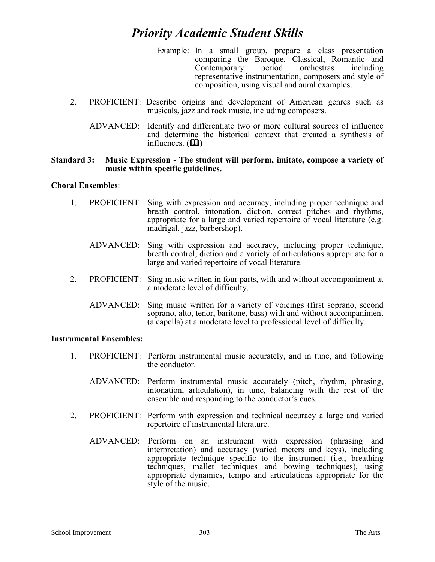- Example: In a small group, prepare a class presentation comparing the Baroque, Classical, Romantic and Contemporary period orchestras including representative instrumentation, composers and style of composition, using visual and aural examples.
- 2. PROFICIENT: Describe origins and development of American genres such as musicals, jazz and rock music, including composers.
	- ADVANCED: Identify and differentiate two or more cultural sources of influence and determine the historical context that created a synthesis of influences.  $(\Box)$

#### **Standard 3: Music Expression - The student will perform, imitate, compose a variety of music within specific guidelines.**

## **Choral Ensembles**:

- 1. PROFICIENT: Sing with expression and accuracy, including proper technique and breath control, intonation, diction, correct pitches and rhythms, appropriate for a large and varied repertoire of vocal literature (e.g. madrigal, jazz, barbershop).
	- ADVANCED: Sing with expression and accuracy, including proper technique, breath control, diction and a variety of articulations appropriate for a large and varied repertoire of vocal literature.
- 2. PROFICIENT: Sing music written in four parts, with and without accompaniment at a moderate level of difficulty.
	- ADVANCED: Sing music written for a variety of voicings (first soprano, second soprano, alto, tenor, baritone, bass) with and without accompaniment (a capella) at a moderate level to professional level of difficulty.

## **Instrumental Ensembles:**

- 1. PROFICIENT: Perform instrumental music accurately, and in tune, and following the conductor.
	- ADVANCED: Perform instrumental music accurately (pitch, rhythm, phrasing, intonation, articulation), in tune, balancing with the rest of the ensemble and responding to the conductor's cues.
- 2. PROFICIENT: Perform with expression and technical accuracy a large and varied repertoire of instrumental literature.
	- ADVANCED: Perform on an instrument with expression (phrasing and interpretation) and accuracy (varied meters and keys), including appropriate technique specific to the instrument (i.e., breathing techniques, mallet techniques and bowing techniques), using appropriate dynamics, tempo and articulations appropriate for the style of the music.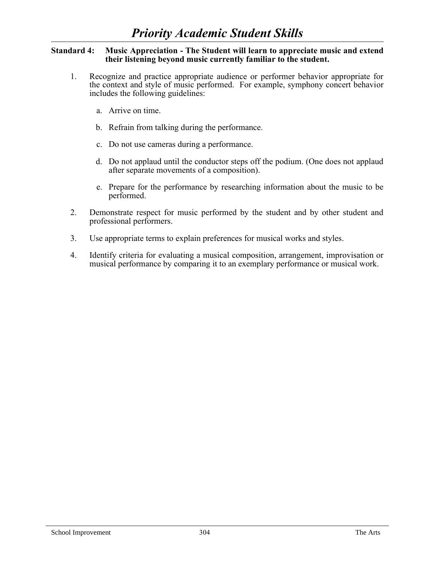### **Standard 4: Music Appreciation - The Student will learn to appreciate music and extend their listening beyond music currently familiar to the student.**

- 1. Recognize and practice appropriate audience or performer behavior appropriate for the context and style of music performed. For example, symphony concert behavior includes the following guidelines:
	- a. Arrive on time.
	- b. Refrain from talking during the performance.
	- c. Do not use cameras during a performance.
	- d. Do not applaud until the conductor steps off the podium. (One does not applaud after separate movements of a composition).
	- e. Prepare for the performance by researching information about the music to be performed.
- 2. Demonstrate respect for music performed by the student and by other student and professional performers.
- 3. Use appropriate terms to explain preferences for musical works and styles.
- 4. Identify criteria for evaluating a musical composition, arrangement, improvisation or musical performance by comparing it to an exemplary performance or musical work.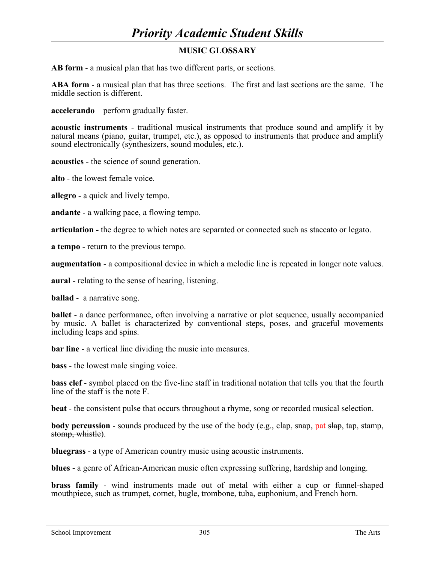# *Priority Academic Student Skills*

# **MUSIC GLOSSARY**

**AB form** - a musical plan that has two different parts, or sections.

**ABA form** - a musical plan that has three sections. The first and last sections are the same. The middle section is different.

**accelerando** – perform gradually faster.

**acoustic instruments** - traditional musical instruments that produce sound and amplify it by natural means (piano, guitar, trumpet, etc.), as opposed to instruments that produce and amplify sound electronically (synthesizers, sound modules, etc.).

**acoustics** - the science of sound generation.

**alto** - the lowest female voice.

**allegro** - a quick and lively tempo.

**andante** - a walking pace, a flowing tempo.

**articulation -** the degree to which notes are separated or connected such as staccato or legato.

**a tempo** - return to the previous tempo.

**augmentation** - a compositional device in which a melodic line is repeated in longer note values.

**aural** - relating to the sense of hearing, listening.

**ballad** - a narrative song.

**ballet** - a dance performance, often involving a narrative or plot sequence, usually accompanied by music. A ballet is characterized by conventional steps, poses, and graceful movements including leaps and spins.

**bar line** - a vertical line dividing the music into measures.

**bass** - the lowest male singing voice.

**bass clef** - symbol placed on the five-line staff in traditional notation that tells you that the fourth line of the staff is the note F.

**beat** - the consistent pulse that occurs throughout a rhyme, song or recorded musical selection.

**body percussion** - sounds produced by the use of the body (e.g., clap, snap, pat slap, tap, stamp, stomp, whistle).

**bluegrass** - a type of American country music using acoustic instruments.

**blues** - a genre of African-American music often expressing suffering, hardship and longing.

**brass family** - wind instruments made out of metal with either a cup or funnel-shaped mouthpiece, such as trumpet, cornet, bugle, trombone, tuba, euphonium, and French horn.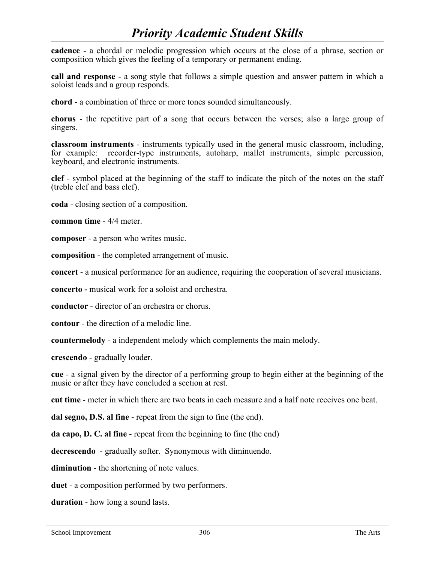# *Priority Academic Student Skills*

**cadence** - a chordal or melodic progression which occurs at the close of a phrase, section or composition which gives the feeling of a temporary or permanent ending.

**call and response** - a song style that follows a simple question and answer pattern in which a soloist leads and a group responds.

**chord** - a combination of three or more tones sounded simultaneously.

**chorus** - the repetitive part of a song that occurs between the verses; also a large group of singers.

**classroom instruments** - instruments typically used in the general music classroom, including, for example: recorder-type instruments, autoharp, mallet instruments, simple percussion, keyboard, and electronic instruments.

**clef** - symbol placed at the beginning of the staff to indicate the pitch of the notes on the staff (treble clef and bass clef).

**coda** - closing section of a composition.

**common time** - 4/4 meter.

**composer** - a person who writes music.

**composition** - the completed arrangement of music.

**concert** - a musical performance for an audience, requiring the cooperation of several musicians.

**concerto -** musical work for a soloist and orchestra.

**conductor** - director of an orchestra or chorus.

**contour** - the direction of a melodic line.

**countermelody** - a independent melody which complements the main melody.

**crescendo** - gradually louder.

**cue** - a signal given by the director of a performing group to begin either at the beginning of the music or after they have concluded a section at rest.

**cut time** - meter in which there are two beats in each measure and a half note receives one beat.

**dal segno, D.S. al fine** - repeat from the sign to fine (the end).

**da capo, D. C. al fine** - repeat from the beginning to fine (the end)

**decrescendo** - gradually softer. Synonymous with diminuendo.

**diminution** - the shortening of note values.

**duet** - a composition performed by two performers.

**duration** - how long a sound lasts.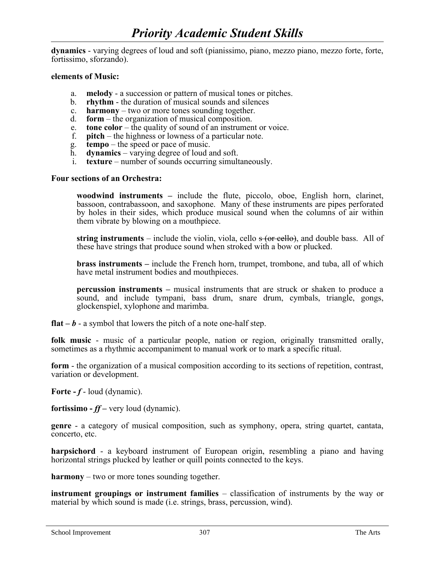**dynamics** - varying degrees of loud and soft (pianissimo, piano, mezzo piano, mezzo forte, forte, fortissimo, sforzando).

#### **elements of Music:**

- a. **melody** a succession or pattern of musical tones or pitches.
- b. **rhythm** the duration of musical sounds and silences
- c. **harmony** two or more tones sounding together.
- d. **form** the organization of musical composition.
- e. **tone color** the quality of sound of an instrument or voice.
- f. **pitch** the highness or lowness of a particular note.
- g. **tempo** the speed or pace of music.
- h. **dynamics** varying degree of loud and soft.
- i. **texture** number of sounds occurring simultaneously.

### **Four sections of an Orchestra:**

**woodwind instruments –** include the flute, piccolo, oboe, English horn, clarinet, bassoon, contrabassoon, and saxophone. Many of these instruments are pipes perforated by holes in their sides, which produce musical sound when the columns of air within them vibrate by blowing on a mouthpiece.

**string instruments** – include the violin, viola, cello s (or cello), and double bass. All of these have strings that produce sound when stroked with a bow or plucked.

**brass instruments –** include the French horn, trumpet, trombone, and tuba, all of which have metal instrument bodies and mouthpieces.

**percussion instruments –** musical instruments that are struck or shaken to produce a sound, and include tympani, bass drum, snare drum, cymbals, triangle, gongs, glockenspiel, xylophone and marimba.

**flat**  $-\mathbf{b}$  - a symbol that lowers the pitch of a note one-half step.

**folk music** - music of a particular people, nation or region, originally transmitted orally, sometimes as a rhythmic accompaniment to manual work or to mark a specific ritual.

**form** - the organization of a musical composition according to its sections of repetition, contrast, variation or development.

**Forte -** *f* - loud (dynamic).

**fortissimo -** *ff –* very loud (dynamic).

**genre** - a category of musical composition, such as symphony, opera, string quartet, cantata, concerto, etc.

**harpsichord** - a keyboard instrument of European origin, resembling a piano and having horizontal strings plucked by leather or quill points connected to the keys.

**harmony** – two or more tones sounding together.

**instrument groupings or instrument families** – classification of instruments by the way or material by which sound is made (i.e. strings, brass, percussion, wind).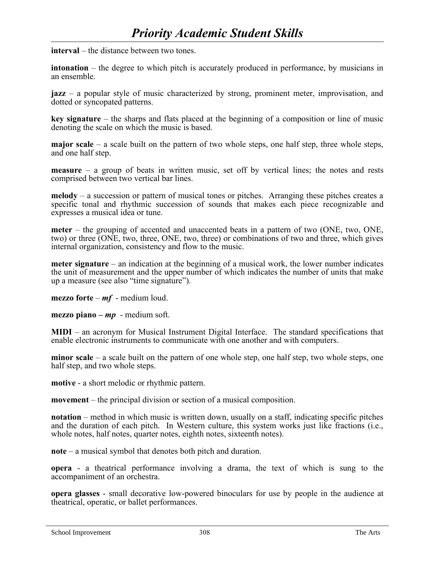**interval** – the distance between two tones.

**intonation** – the degree to which pitch is accurately produced in performance, by musicians in an ensemble.

**jazz** – a popular style of music characterized by strong, prominent meter, improvisation, and dotted or syncopated patterns.

**key signature** – the sharps and flats placed at the beginning of a composition or line of music denoting the scale on which the music is based.

**major scale** – a scale built on the pattern of two whole steps, one half step, three whole steps, and one half step.

**measure** – a group of beats in written music, set off by vertical lines; the notes and rests comprised between two vertical bar lines.

**melody** – a succession or pattern of musical tones or pitches. Arranging these pitches creates a specific tonal and rhythmic succession of sounds that makes each piece recognizable and expresses a musical idea or tune.

**meter** – the grouping of accented and unaccented beats in a pattern of two (ONE, two, ONE, two) or three (ONE, two, three, ONE, two, three) or combinations of two and three, which gives internal organization, consistency and flow to the music.

**meter signature** – an indication at the beginning of a musical work, the lower number indicates the unit of measurement and the upper number of which indicates the number of units that make up a measure (see also "time signature").

**mezzo forte** – *mf* - medium loud.

**mezzo piano –** *mp* - medium soft.

**MIDI** – an acronym for Musical Instrument Digital Interface. The standard specifications that enable electronic instruments to communicate with one another and with computers.

**minor scale** – a scale built on the pattern of one whole step, one half step, two whole steps, one half step, and two whole steps.

**motive** - a short melodic or rhythmic pattern.

**movement** – the principal division or section of a musical composition.

**notation** – method in which music is written down, usually on a staff, indicating specific pitches and the duration of each pitch. In Western culture, this system works just like fractions (i.e., whole notes, half notes, quarter notes, eighth notes, sixteenth notes).

**note** – a musical symbol that denotes both pitch and duration.

**opera** - a theatrical performance involving a drama, the text of which is sung to the accompaniment of an orchestra.

**opera glasses** - small decorative low-powered binoculars for use by people in the audience at theatrical, operatic, or ballet performances.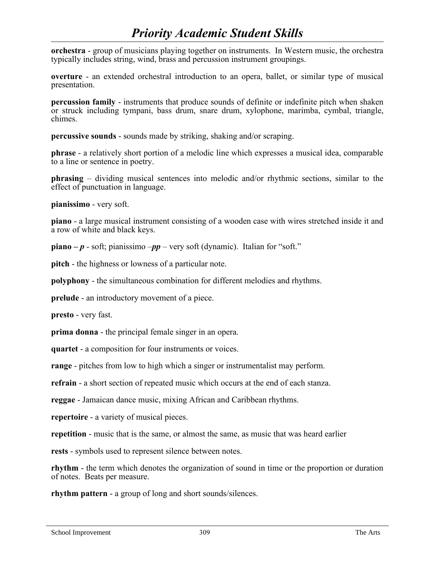# *Priority Academic Student Skills*

**orchestra** - group of musicians playing together on instruments. In Western music, the orchestra typically includes string, wind, brass and percussion instrument groupings.

**overture** - an extended orchestral introduction to an opera, ballet, or similar type of musical presentation.

**percussion family** - instruments that produce sounds of definite or indefinite pitch when shaken or struck including tympani, bass drum, snare drum, xylophone, marimba, cymbal, triangle, chimes.

**percussive sounds** - sounds made by striking, shaking and/or scraping.

**phrase** - a relatively short portion of a melodic line which expresses a musical idea, comparable to a line or sentence in poetry.

**phrasing** – dividing musical sentences into melodic and/or rhythmic sections, similar to the effect of punctuation in language.

**pianissimo** - very soft.

**piano** - a large musical instrument consisting of a wooden case with wires stretched inside it and a row of white and black keys.

**piano –** *p* - soft; pianissimo –*pp* – very soft (dynamic). Italian for "soft."

**pitch** - the highness or lowness of a particular note.

**polyphony** - the simultaneous combination for different melodies and rhythms.

**prelude** - an introductory movement of a piece.

**presto** - very fast.

**prima donna** - the principal female singer in an opera.

**quartet** - a composition for four instruments or voices.

**range** - pitches from low to high which a singer or instrumentalist may perform.

**refrain** - a short section of repeated music which occurs at the end of each stanza.

**reggae** - Jamaican dance music, mixing African and Caribbean rhythms.

**repertoire** - a variety of musical pieces.

**repetition** - music that is the same, or almost the same, as music that was heard earlier

**rests** - symbols used to represent silence between notes.

**rhythm** - the term which denotes the organization of sound in time or the proportion or duration of notes. Beats per measure.

**rhythm pattern** - a group of long and short sounds/silences.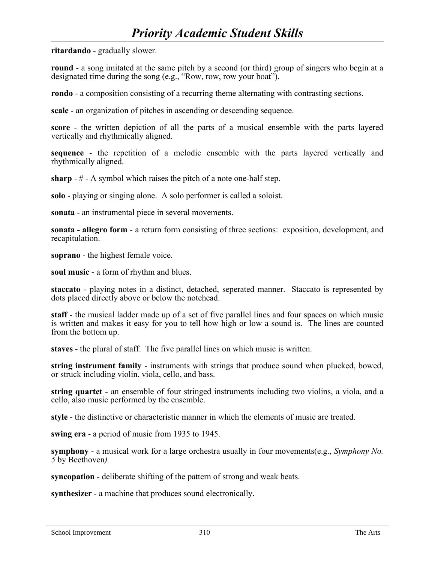**ritardando** - gradually slower.

**round** - a song imitated at the same pitch by a second (or third) group of singers who begin at a designated time during the song (e.g., "Row, row, row your boat").

**rondo** - a composition consisting of a recurring theme alternating with contrasting sections.

**scale** - an organization of pitches in ascending or descending sequence.

**score** - the written depiction of all the parts of a musical ensemble with the parts layered vertically and rhythmically aligned.

**sequence** - the repetition of a melodic ensemble with the parts layered vertically and rhythmically aligned.

**sharp** - # - A symbol which raises the pitch of a note one-half step.

**solo** - playing or singing alone. A solo performer is called a soloist.

**sonata** - an instrumental piece in several movements.

**sonata - allegro form** - a return form consisting of three sections: exposition, development, and recapitulation.

**soprano** - the highest female voice.

**soul music** - a form of rhythm and blues.

**staccato** - playing notes in a distinct, detached, seperated manner. Staccato is represented by dots placed directly above or below the notehead.

**staff** - the musical ladder made up of a set of five parallel lines and four spaces on which music is written and makes it easy for you to tell how high or low a sound is. The lines are counted from the bottom up.

**staves** - the plural of staff. The five parallel lines on which music is written.

**string instrument family** - instruments with strings that produce sound when plucked, bowed, or struck including violin, viola, cello, and bass.

**string quartet** - an ensemble of four stringed instruments including two violins, a viola, and a cello, also music performed by the ensemble.

**style** - the distinctive or characteristic manner in which the elements of music are treated.

**swing era** - a period of music from 1935 to 1945.

**symphony** - a musical work for a large orchestra usually in four movements(e.g., *Symphony No. 5* by Beethoven*).*

**syncopation** - deliberate shifting of the pattern of strong and weak beats.

**synthesizer** - a machine that produces sound electronically.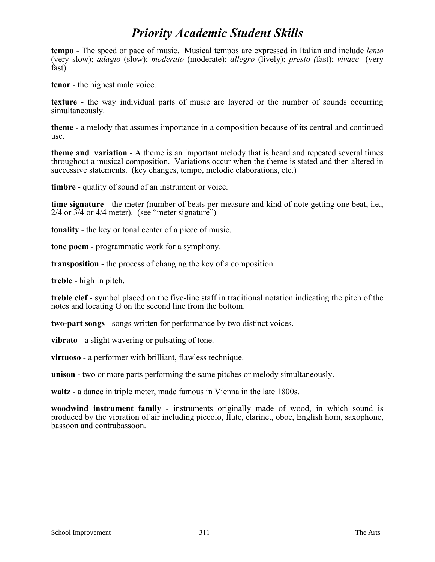# *Priority Academic Student Skills*

**tempo** - The speed or pace of music. Musical tempos are expressed in Italian and include *lento* (very slow); *adagio* (slow); *moderato* (moderate); *allegro* (lively); *presto (*fast); *vivace* (very fast).

**tenor** - the highest male voice.

**texture** - the way individual parts of music are layered or the number of sounds occurring simultaneously.

**theme** - a melody that assumes importance in a composition because of its central and continued use.

**theme and variation** - A theme is an important melody that is heard and repeated several times throughout a musical composition. Variations occur when the theme is stated and then altered in successive statements. (key changes, tempo, melodic elaborations, etc.)

**timbre** - quality of sound of an instrument or voice.

**time signature** - the meter (number of beats per measure and kind of note getting one beat, i.e.,  $2/4$  or  $3/4$  or  $4/4$  meter). (see "meter signature")

**tonality** - the key or tonal center of a piece of music.

**tone poem** - programmatic work for a symphony.

**transposition** - the process of changing the key of a composition.

**treble** - high in pitch.

**treble clef** - symbol placed on the five-line staff in traditional notation indicating the pitch of the notes and locating G on the second line from the bottom.

**two-part songs** - songs written for performance by two distinct voices.

**vibrato** - a slight wavering or pulsating of tone.

**virtuoso** - a performer with brilliant, flawless technique.

**unison -** two or more parts performing the same pitches or melody simultaneously.

**waltz** - a dance in triple meter, made famous in Vienna in the late 1800s.

**woodwind instrument family** - instruments originally made of wood, in which sound is produced by the vibration of air including piccolo, flute, clarinet, oboe, English horn, saxophone, bassoon and contrabassoon.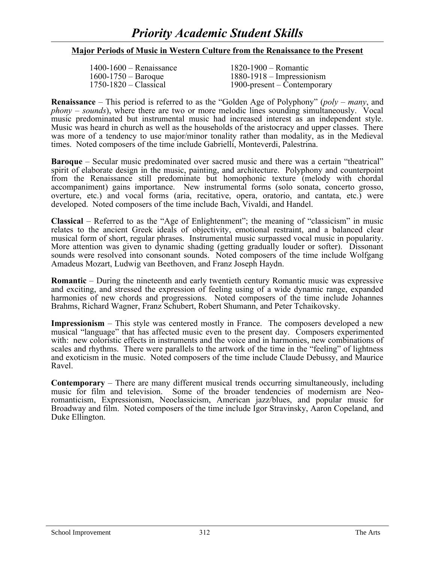# *Priority Academic Student Skills*

## **Major Periods of Music in Western Culture from the Renaissance to the Present**

| $1400-1600$ – Renaissance | $1820 - 1900 -$ Romantic      |
|---------------------------|-------------------------------|
| $1600 - 1750 - Baroque$   | $1880 - 1918 -$ Impressionism |
| $1750-1820$ – Classical   | 1900-present – Contemporary   |

**Renaissance** – This period is referred to as the "Golden Age of Polyphony" (*poly – many*, and *phony – sounds*), where there are two or more melodic lines sounding simultaneously. Vocal music predominated but instrumental music had increased interest as an independent style. Music was heard in church as well as the households of the aristocracy and upper classes. There was more of a tendency to use major/minor tonality rather than modality, as in the Medieval times. Noted composers of the time include Gabrielli, Monteverdi, Palestrina.

**Baroque** – Secular music predominated over sacred music and there was a certain "theatrical" spirit of elaborate design in the music, painting, and architecture. Polyphony and counterpoint from the Renaissance still predominate but homophonic texture (melody with chordal accompaniment) gains importance. New instrumental forms (solo sonata, concerto grosso, overture, etc.) and vocal forms (aria, recitative, opera, oratorio, and cantata, etc.) were developed. Noted composers of the time include Bach, Vivaldi, and Handel.

**Classical** – Referred to as the "Age of Enlightenment"; the meaning of "classicism" in music relates to the ancient Greek ideals of objectivity, emotional restraint, and a balanced clear musical form of short, regular phrases. Instrumental music surpassed vocal music in popularity. More attention was given to dynamic shading (getting gradually louder or softer). Dissonant sounds were resolved into consonant sounds. Noted composers of the time include Wolfgang Amadeus Mozart, Ludwig van Beethoven, and Franz Joseph Haydn.

**Romantic** – During the nineteenth and early twentieth century Romantic music was expressive and exciting, and stressed the expression of feeling using of a wide dynamic range, expanded harmonies of new chords and progressions. Noted composers of the time include Johannes Brahms, Richard Wagner, Franz Schubert, Robert Shumann, and Peter Tchaikovsky.

**Impressionism** – This style was centered mostly in France. The composers developed a new musical "language" that has affected music even to the present day. Composers experimented with: new coloristic effects in instruments and the voice and in harmonies, new combinations of scales and rhythms. There were parallels to the artwork of the time in the "feeling" of lightness and exoticism in the music. Noted composers of the time include Claude Debussy, and Maurice Ravel.

**Contemporary** – There are many different musical trends occurring simultaneously, including music for film and television. Some of the broader tendencies of modernism are Neoromanticism, Expressionism, Neoclassicism, American jazz/blues, and popular music for Broadway and film. Noted composers of the time include Igor Stravinsky, Aaron Copeland, and Duke Ellington.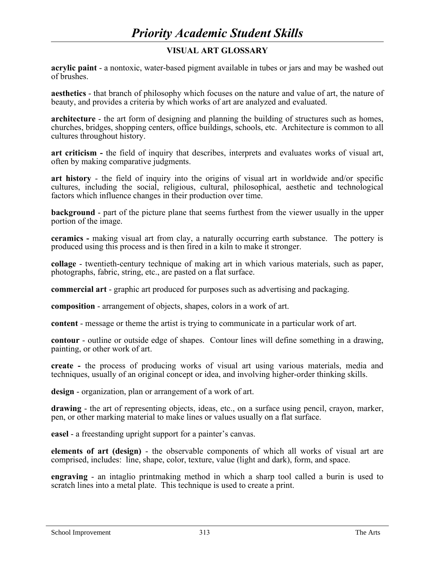# **VISUAL ART GLOSSARY**

**acrylic paint** - a nontoxic, water-based pigment available in tubes or jars and may be washed out of brushes.

**aesthetics** - that branch of philosophy which focuses on the nature and value of art, the nature of beauty, and provides a criteria by which works of art are analyzed and evaluated.

**architecture** - the art form of designing and planning the building of structures such as homes, churches, bridges, shopping centers, office buildings, schools, etc. Architecture is common to all cultures throughout history.

**art criticism -** the field of inquiry that describes, interprets and evaluates works of visual art, often by making comparative judgments.

**art history** - the field of inquiry into the origins of visual art in worldwide and/or specific cultures, including the social, religious, cultural, philosophical, aesthetic and technological factors which influence changes in their production over time.

**background** - part of the picture plane that seems furthest from the viewer usually in the upper portion of the image.

**ceramics -** making visual art from clay, a naturally occurring earth substance. The pottery is produced using this process and is then fired in a kiln to make it stronger.

**collage** - twentieth-century technique of making art in which various materials, such as paper, photographs, fabric, string, etc., are pasted on a flat surface.

**commercial art** - graphic art produced for purposes such as advertising and packaging.

**composition** - arrangement of objects, shapes, colors in a work of art.

**content** - message or theme the artist is trying to communicate in a particular work of art.

**contour** - outline or outside edge of shapes. Contour lines will define something in a drawing, painting, or other work of art.

**create -** the process of producing works of visual art using various materials, media and techniques, usually of an original concept or idea, and involving higher-order thinking skills.

**design** - organization, plan or arrangement of a work of art.

**drawing** - the art of representing objects, ideas, etc., on a surface using pencil, crayon, marker, pen, or other marking material to make lines or values usually on a flat surface.

**easel** - a freestanding upright support for a painter's canvas.

**elements of art (design)** - the observable components of which all works of visual art are comprised, includes: line, shape, color, texture, value (light and dark), form, and space.

**engraving** - an intaglio printmaking method in which a sharp tool called a burin is used to scratch lines into a metal plate. This technique is used to create a print.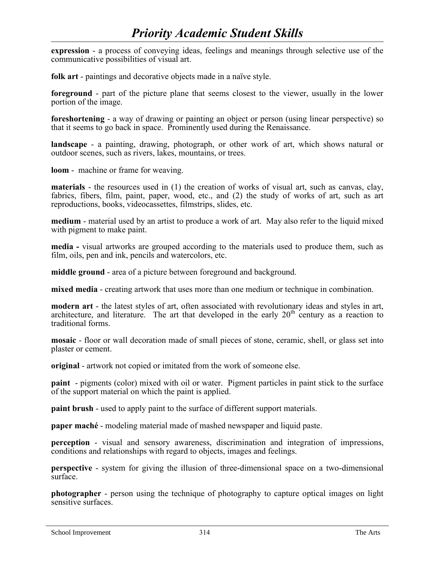**expression** - a process of conveying ideas, feelings and meanings through selective use of the communicative possibilities of visual art.

**folk art** - paintings and decorative objects made in a naïve style.

**foreground** - part of the picture plane that seems closest to the viewer, usually in the lower portion of the image.

**foreshortening** - a way of drawing or painting an object or person (using linear perspective) so that it seems to go back in space. Prominently used during the Renaissance.

**landscape** - a painting, drawing, photograph, or other work of art, which shows natural or outdoor scenes, such as rivers, lakes, mountains, or trees.

**loom** - machine or frame for weaving.

**materials** - the resources used in (1) the creation of works of visual art, such as canvas, clay, fabrics, fibers, film, paint, paper, wood, etc., and (2) the study of works of art, such as art reproductions, books, videocassettes, filmstrips, slides, etc.

**medium** - material used by an artist to produce a work of art. May also refer to the liquid mixed with pigment to make paint.

**media -** visual artworks are grouped according to the materials used to produce them, such as film, oils, pen and ink, pencils and watercolors, etc.

**middle ground** - area of a picture between foreground and background.

**mixed media** - creating artwork that uses more than one medium or technique in combination.

**modern art** - the latest styles of art, often associated with revolutionary ideas and styles in art, architecture, and literature. The art that developed in the early  $20<sup>th</sup>$  century as a reaction to traditional forms.

**mosaic** - floor or wall decoration made of small pieces of stone, ceramic, shell, or glass set into plaster or cement.

**original** - artwork not copied or imitated from the work of someone else.

**paint** - pigments (color) mixed with oil or water. Pigment particles in paint stick to the surface of the support material on which the paint is applied.

**paint brush** - used to apply paint to the surface of different support materials.

**paper maché** - modeling material made of mashed newspaper and liquid paste.

**perception** - visual and sensory awareness, discrimination and integration of impressions, conditions and relationships with regard to objects, images and feelings.

**perspective** - system for giving the illusion of three-dimensional space on a two-dimensional surface.

**photographer** - person using the technique of photography to capture optical images on light sensitive surfaces.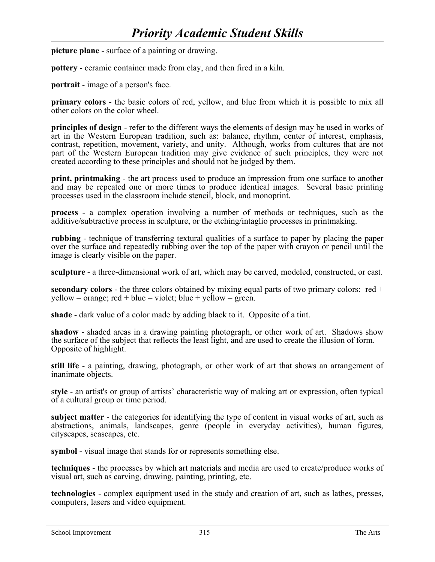**picture plane** - surface of a painting or drawing.

**pottery** - ceramic container made from clay, and then fired in a kiln.

**portrait** - image of a person's face.

**primary colors** - the basic colors of red, yellow, and blue from which it is possible to mix all other colors on the color wheel.

**principles of design** - refer to the different ways the elements of design may be used in works of art in the Western European tradition, such as: balance, rhythm, center of interest, emphasis, contrast, repetition, movement, variety, and unity. Although, works from cultures that are not part of the Western European tradition may give evidence of such principles, they were not created according to these principles and should not be judged by them.

**print, printmaking** - the art process used to produce an impression from one surface to another and may be repeated one or more times to produce identical images. Several basic printing processes used in the classroom include stencil, block, and monoprint.

**process** - a complex operation involving a number of methods or techniques, such as the additive/subtractive process in sculpture, or the etching/intaglio processes in printmaking.

**rubbing** - technique of transferring textural qualities of a surface to paper by placing the paper over the surface and repeatedly rubbing over the top of the paper with crayon or pencil until the image is clearly visible on the paper.

**sculpture** - a three-dimensional work of art, which may be carved, modeled, constructed, or cast.

**secondary colors** - the three colors obtained by mixing equal parts of two primary colors: red +  $yellow = orange$ ; red + blue = violet; blue + yellow = green.

**shade** - dark value of a color made by adding black to it. Opposite of a tint.

**shadow** - shaded areas in a drawing painting photograph, or other work of art. Shadows show the surface of the subject that reflects the least light, and are used to create the illusion of form. Opposite of highlight.

**still life** - a painting, drawing, photograph, or other work of art that shows an arrangement of inanimate objects.

s**tyle** - an artist's or group of artists' characteristic way of making art or expression, often typical of a cultural group or time period.

**subject matter** - the categories for identifying the type of content in visual works of art, such as abstractions, animals, landscapes, genre (people in everyday activities), human figures, cityscapes, seascapes, etc.

**symbol** - visual image that stands for or represents something else.

**techniques** - the processes by which art materials and media are used to create/produce works of visual art, such as carving, drawing, painting, printing, etc.

**technologies** - complex equipment used in the study and creation of art, such as lathes, presses, computers, lasers and video equipment.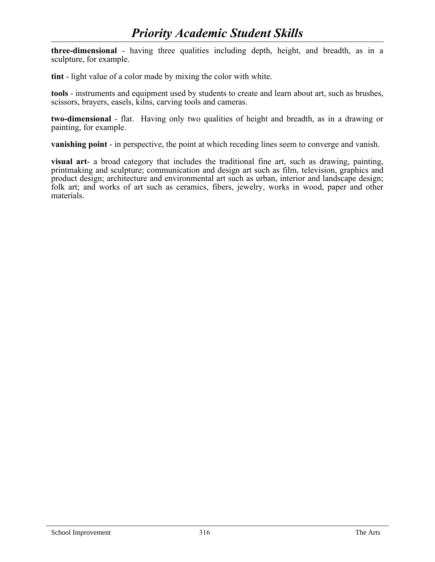**three-dimensional** - having three qualities including depth, height, and breadth, as in a sculpture, for example.

**tint** - light value of a color made by mixing the color with white.

**tools** - instruments and equipment used by students to create and learn about art, such as brushes, scissors, brayers, easels, kilns, carving tools and cameras.

**two-dimensional** - flat. Having only two qualities of height and breadth, as in a drawing or painting, for example.

**vanishing point** - in perspective, the point at which receding lines seem to converge and vanish.

**visual art**- a broad category that includes the traditional fine art, such as drawing, painting, printmaking and sculpture; communication and design art such as film, television, graphics and product design; architecture and environmental art such as urban, interior and landscape design; folk art; and works of art such as ceramics, fibers, jewelry, works in wood, paper and other materials.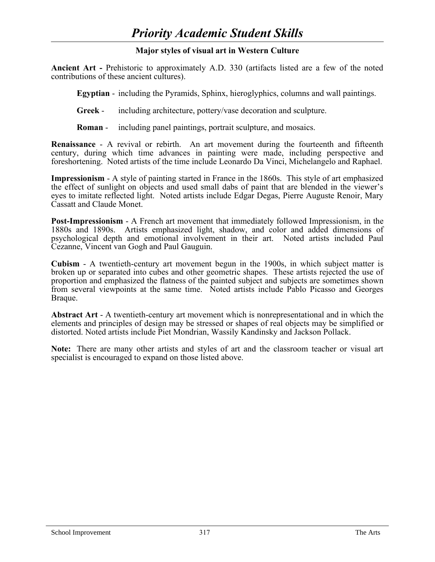# **Major styles of visual art in Western Culture**

**Ancient Art -** Prehistoric to approximately A.D. 330 (artifacts listed are a few of the noted contributions of these ancient cultures).

**Egyptian** - including the Pyramids, Sphinx, hieroglyphics, columns and wall paintings.

**Greek** - including architecture, pottery/vase decoration and sculpture.

**Roman** - including panel paintings, portrait sculpture, and mosaics.

**Renaissance** - A revival or rebirth. An art movement during the fourteenth and fifteenth century, during which time advances in painting were made, including perspective and foreshortening. Noted artists of the time include Leonardo Da Vinci, Michelangelo and Raphael.

**Impressionism** - A style of painting started in France in the 1860s. This style of art emphasized the effect of sunlight on objects and used small dabs of paint that are blended in the viewer's eyes to imitate reflected light. Noted artists include Edgar Degas, Pierre Auguste Renoir, Mary Cassatt and Claude Monet.

**Post-Impressionism** - A French art movement that immediately followed Impressionism, in the 1880s and 1890s. Artists emphasized light, shadow, and color and added dimensions of psychological depth and emotional involvement in their art. Noted artists included Paul Cezanne, Vincent van Gogh and Paul Gauguin.

**Cubism** - A twentieth-century art movement begun in the 1900s, in which subject matter is broken up or separated into cubes and other geometric shapes. These artists rejected the use of proportion and emphasized the flatness of the painted subject and subjects are sometimes shown from several viewpoints at the same time. Noted artists include Pablo Picasso and Georges Braque.

**Abstract Art** - A twentieth-century art movement which is nonrepresentational and in which the elements and principles of design may be stressed or shapes of real objects may be simplified or distorted. Noted artists include Piet Mondrian, Wassily Kandinsky and Jackson Pollack.

**Note:** There are many other artists and styles of art and the classroom teacher or visual art specialist is encouraged to expand on those listed above.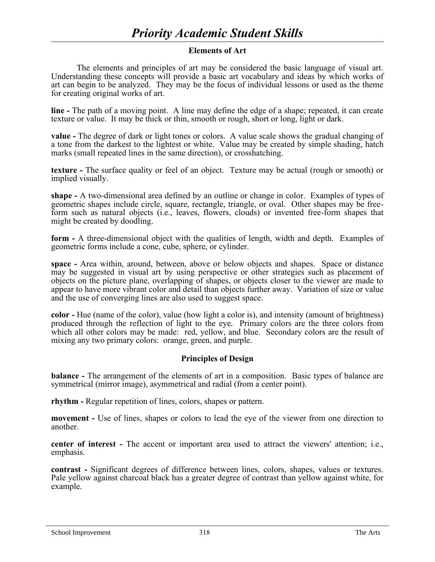# **Elements of Art**

The elements and principles of art may be considered the basic language of visual art. Understanding these concepts will provide a basic art vocabulary and ideas by which works of art can begin to be analyzed. They may be the focus of individual lessons or used as the theme for creating original works of art.

**line -** The path of a moving point. A line may define the edge of a shape; repeated, it can create texture or value. It may be thick or thin, smooth or rough, short or long, light or dark.

**value -** The degree of dark or light tones or colors. A value scale shows the gradual changing of a tone from the darkest to the lightest or white. Value may be created by simple shading, hatch marks (small repeated lines in the same direction), or crosshatching.

**texture -** The surface quality or feel of an object. Texture may be actual (rough or smooth) or implied visually.

**shape -** A two-dimensional area defined by an outline or change in color. Examples of types of geometric shapes include circle, square, rectangle, triangle, or oval. Other shapes may be freeform such as natural objects (i.e., leaves, flowers, clouds) or invented free-form shapes that might be created by doodling.

**form -** A three-dimensional object with the qualities of length, width and depth. Examples of geometric forms include a cone, cube, sphere, or cylinder.

**space -** Area within, around, between, above or below objects and shapes. Space or distance may be suggested in visual art by using perspective or other strategies such as placement of objects on the picture plane, overlapping of shapes, or objects closer to the viewer are made to appear to have more vibrant color and detail than objects further away. Variation of size or value and the use of converging lines are also used to suggest space.

**color -** Hue (name of the color), value (how light a color is), and intensity (amount of brightness) produced through the reflection of light to the eye. Primary colors are the three colors from which all other colors may be made: red, yellow, and blue. Secondary colors are the result of mixing any two primary colors: orange, green, and purple.

## **Principles of Design**

**balance -** The arrangement of the elements of art in a composition. Basic types of balance are symmetrical (mirror image), asymmetrical and radial (from a center point).

**rhythm -** Regular repetition of lines, colors, shapes or pattern.

**movement -** Use of lines, shapes or colors to lead the eye of the viewer from one direction to another.

**center of interest -** The accent or important area used to attract the viewers' attention; i.e., emphasis.

**contrast -** Significant degrees of difference between lines, colors, shapes, values or textures. Pale yellow against charcoal black has a greater degree of contrast than yellow against white, for example.